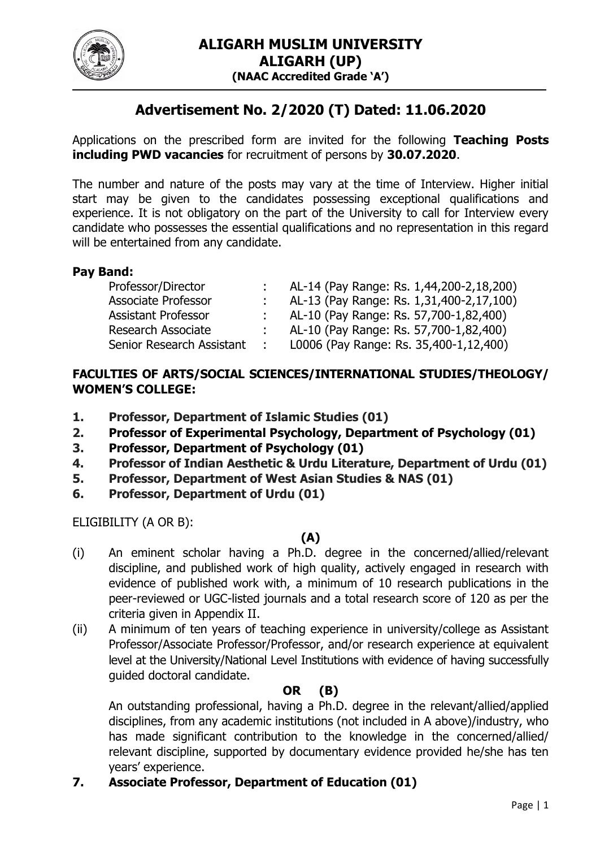

# **Advertisement No. 2/2020 (T) Dated: 11.06.2020**

Applications on the prescribed form are invited for the following **Teaching Posts including PWD vacancies** for recruitment of persons by **30.07.2020**.

The number and nature of the posts may vary at the time of Interview. Higher initial start may be given to the candidates possessing exceptional qualifications and experience. It is not obligatory on the part of the University to call for Interview every candidate who possesses the essential qualifications and no representation in this regard will be entertained from any candidate.

# **Pay Band:**

| Professor/Director         | AL-14 (Pay Range: Rs. 1,44,200-2,18,200) |
|----------------------------|------------------------------------------|
| <b>Associate Professor</b> | AL-13 (Pay Range: Rs. 1,31,400-2,17,100) |
| <b>Assistant Professor</b> | AL-10 (Pay Range: Rs. 57,700-1,82,400)   |
| <b>Research Associate</b>  | AL-10 (Pay Range: Rs. 57,700-1,82,400)   |
| Senior Research Assistant  | L0006 (Pay Range: Rs. 35,400-1,12,400)   |

# **FACULTIES OF ARTS/SOCIAL SCIENCES/INTERNATIONAL STUDIES/THEOLOGY/ WOMEN'S COLLEGE:**

- **1. Professor, Department of Islamic Studies (01)**
- **2. Professor of Experimental Psychology, Department of Psychology (01)**
- **3. Professor, Department of Psychology (01)**
- **4. Professor of Indian Aesthetic & Urdu Literature, Department of Urdu (01)**
- **5. Professor, Department of West Asian Studies & NAS (01)**
- **6. Professor, Department of Urdu (01)**

ELIGIBILITY (A OR B):

# **(A)**

- (i) An eminent scholar having a Ph.D. degree in the concerned/allied/relevant discipline, and published work of high quality, actively engaged in research with evidence of published work with, a minimum of 10 research publications in the peer-reviewed or UGC-listed journals and a total research score of 120 as per the criteria given in Appendix II.
- (ii) A minimum of ten years of teaching experience in university/college as Assistant Professor/Associate Professor/Professor, and/or research experience at equivalent level at the University/National Level Institutions with evidence of having successfully guided doctoral candidate.

# **OR (B)**

An outstanding professional, having a Ph.D. degree in the relevant/allied/applied disciplines, from any academic institutions (not included in A above)/industry, who has made significant contribution to the knowledge in the concerned/allied/ relevant discipline, supported by documentary evidence provided he/she has ten years' experience.

# **7. Associate Professor, Department of Education (01)**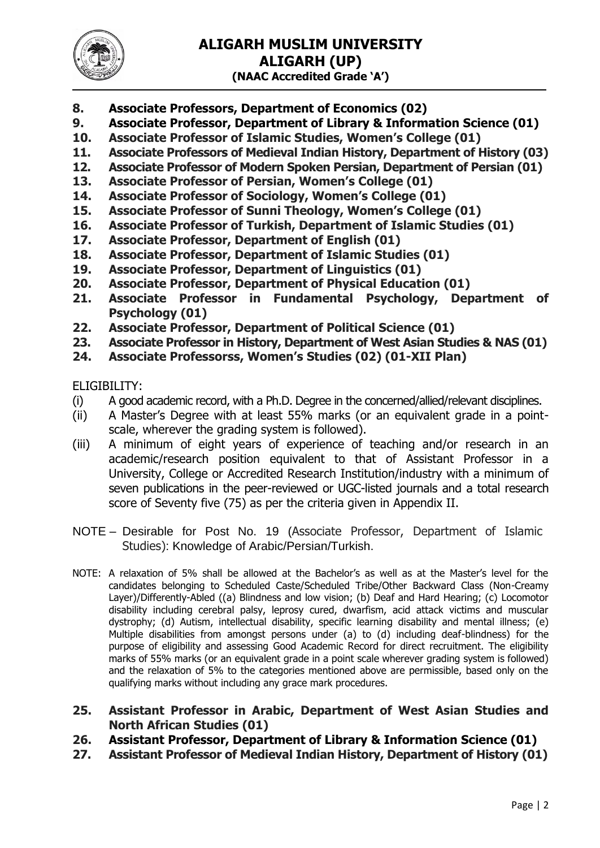

- **8. Associate Professors, Department of Economics (02)**
- **9. Associate Professor, Department of Library & Information Science (01)**
- **10. Associate Professor of Islamic Studies, Women's College (01)**
- **11. Associate Professors of Medieval Indian History, Department of History (03)**
- **12. Associate Professor of Modern Spoken Persian, Department of Persian (01)**
- **13. Associate Professor of Persian, Women's College (01)**
- **14. Associate Professor of Sociology, Women's College (01)**
- **15. Associate Professor of Sunni Theology, Women's College (01)**
- **16. Associate Professor of Turkish, Department of Islamic Studies (01)**
- **17. Associate Professor, Department of English (01)**
- **18. Associate Professor, Department of Islamic Studies (01)**
- **19. Associate Professor, Department of Linguistics (01)**
- **20. Associate Professor, Department of Physical Education (01)**
- **21. Associate Professor in Fundamental Psychology, Department of Psychology (01)**
- **22. Associate Professor, Department of Political Science (01)**
- **23. Associate Professor in History, Department of West Asian Studies & NAS (01)**
- **24. Associate Professorss, Women's Studies (02) (01-XII Plan)**

ELIGIBILITY:

- (i) A good academic record, with a Ph.D. Degree in the concerned/allied/relevant disciplines.
- (ii) A Master's Degree with at least 55% marks (or an equivalent grade in a pointscale, wherever the grading system is followed).
- (iii) A minimum of eight years of experience of teaching and/or research in an academic/research position equivalent to that of Assistant Professor in a University, College or Accredited Research Institution/industry with a minimum of seven publications in the peer-reviewed or UGC-listed journals and a total research score of Seventy five (75) as per the criteria given in Appendix II.
- NOTE Desirable for Post No. 19 (Associate Professor, Department of Islamic Studies): Knowledge of Arabic/Persian/Turkish.
- NOTE: A relaxation of 5% shall be allowed at the Bachelor's as well as at the Master's level for the candidates belonging to Scheduled Caste/Scheduled Tribe/Other Backward Class (Non-Creamy Layer)/Differently-Abled ((a) Blindness and low vision; (b) Deaf and Hard Hearing; (c) Locomotor disability including cerebral palsy, leprosy cured, dwarfism, acid attack victims and muscular dystrophy; (d) Autism, intellectual disability, specific learning disability and mental illness; (e) Multiple disabilities from amongst persons under (a) to (d) including deaf-blindness) for the purpose of eligibility and assessing Good Academic Record for direct recruitment. The eligibility marks of 55% marks (or an equivalent grade in a point scale wherever grading system is followed) and the relaxation of 5% to the categories mentioned above are permissible, based only on the qualifying marks without including any grace mark procedures.
- **25. Assistant Professor in Arabic, Department of West Asian Studies and North African Studies (01)**
- **26. Assistant Professor, Department of Library & Information Science (01)**
- **27. Assistant Professor of Medieval Indian History, Department of History (01)**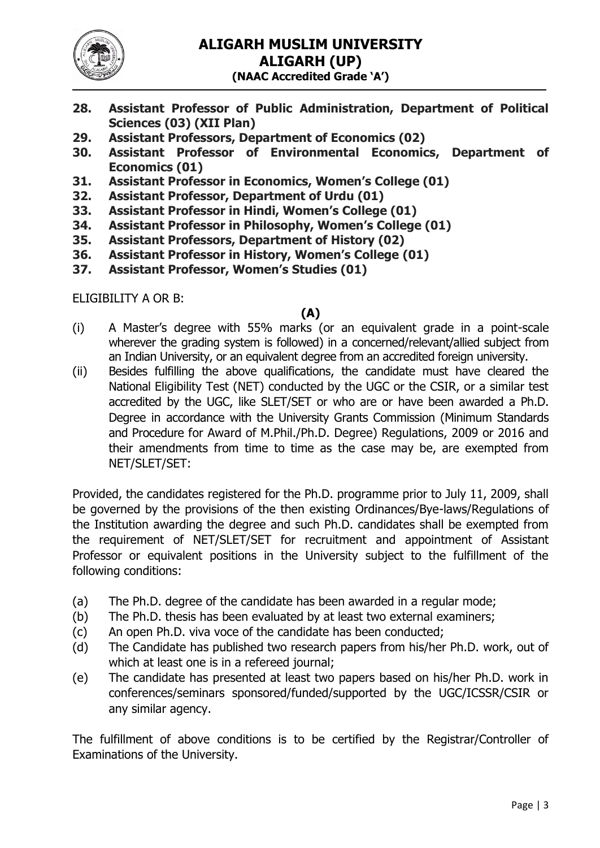

- **28. Assistant Professor of Public Administration, Department of Political Sciences (03) (XII Plan)**
- **29. Assistant Professors, Department of Economics (02)**
- **30. Assistant Professor of Environmental Economics, Department of Economics (01)**
- **31. Assistant Professor in Economics, Women's College (01)**
- **32. Assistant Professor, Department of Urdu (01)**
- **33. Assistant Professor in Hindi, Women's College (01)**
- **34. Assistant Professor in Philosophy, Women's College (01)**
- **35. Assistant Professors, Department of History (02)**
- **36. Assistant Professor in History, Women's College (01)**
- **37. Assistant Professor, Women's Studies (01)**

ELIGIBILITY A OR B:

#### **(A)**

- (i) A Master's degree with 55% marks (or an equivalent grade in a point-scale wherever the grading system is followed) in a concerned/relevant/allied subject from an Indian University, or an equivalent degree from an accredited foreign university.
- (ii) Besides fulfilling the above qualifications, the candidate must have cleared the National Eligibility Test (NET) conducted by the UGC or the CSIR, or a similar test accredited by the UGC, like SLET/SET or who are or have been awarded a Ph.D. Degree in accordance with the University Grants Commission (Minimum Standards and Procedure for Award of M.Phil./Ph.D. Degree) Regulations, 2009 or 2016 and their amendments from time to time as the case may be, are exempted from NET/SLET/SET:

Provided, the candidates registered for the Ph.D. programme prior to July 11, 2009, shall be governed by the provisions of the then existing Ordinances/Bye-laws/Regulations of the Institution awarding the degree and such Ph.D. candidates shall be exempted from the requirement of NET/SLET/SET for recruitment and appointment of Assistant Professor or equivalent positions in the University subject to the fulfillment of the following conditions:

- (a) The Ph.D. degree of the candidate has been awarded in a regular mode;
- (b) The Ph.D. thesis has been evaluated by at least two external examiners;
- (c) An open Ph.D. viva voce of the candidate has been conducted;
- (d) The Candidate has published two research papers from his/her Ph.D. work, out of which at least one is in a refereed journal;
- (e) The candidate has presented at least two papers based on his/her Ph.D. work in conferences/seminars sponsored/funded/supported by the UGC/ICSSR/CSIR or any similar agency.

The fulfillment of above conditions is to be certified by the Registrar/Controller of Examinations of the University.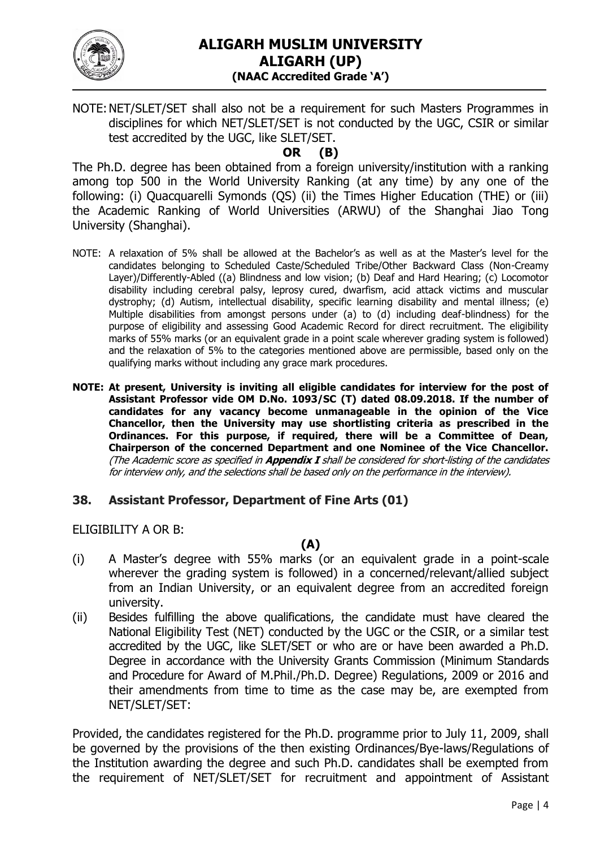

NOTE:NET/SLET/SET shall also not be a requirement for such Masters Programmes in disciplines for which NET/SLET/SET is not conducted by the UGC, CSIR or similar test accredited by the UGC, like SLET/SET.

# **OR (B)**

The Ph.D. degree has been obtained from a foreign university/institution with a ranking among top 500 in the World University Ranking (at any time) by any one of the following: (i) Quacquarelli Symonds (QS) (ii) the Times Higher Education (THE) or (iii) the Academic Ranking of World Universities (ARWU) of the Shanghai Jiao Tong University (Shanghai).

- NOTE: A relaxation of 5% shall be allowed at the Bachelor's as well as at the Master's level for the candidates belonging to Scheduled Caste/Scheduled Tribe/Other Backward Class (Non-Creamy Layer)/Differently-Abled ((a) Blindness and low vision; (b) Deaf and Hard Hearing; (c) Locomotor disability including cerebral palsy, leprosy cured, dwarfism, acid attack victims and muscular dystrophy; (d) Autism, intellectual disability, specific learning disability and mental illness; (e) Multiple disabilities from amongst persons under (a) to (d) including deaf-blindness) for the purpose of eligibility and assessing Good Academic Record for direct recruitment. The eligibility marks of 55% marks (or an equivalent grade in a point scale wherever grading system is followed) and the relaxation of 5% to the categories mentioned above are permissible, based only on the qualifying marks without including any grace mark procedures.
- **NOTE: At present, University is inviting all eligible candidates for interview for the post of Assistant Professor vide OM D.No. 1093/SC (T) dated 08.09.2018. If the number of candidates for any vacancy become unmanageable in the opinion of the Vice Chancellor, then the University may use shortlisting criteria as prescribed in the Ordinances. For this purpose, if required, there will be a Committee of Dean, Chairperson of the concerned Department and one Nominee of the Vice Chancellor.** (The Academic score as specified in **Appendix I** shall be considered for short-listing of the candidates for interview only, and the selections shall be based only on the performance in the interview).

## **38. Assistant Professor, Department of Fine Arts (01)**

ELIGIBILITY A OR B:

## **(A)**

- (i) A Master's degree with 55% marks (or an equivalent grade in a point-scale wherever the grading system is followed) in a concerned/relevant/allied subject from an Indian University, or an equivalent degree from an accredited foreign university.
- (ii) Besides fulfilling the above qualifications, the candidate must have cleared the National Eligibility Test (NET) conducted by the UGC or the CSIR, or a similar test accredited by the UGC, like SLET/SET or who are or have been awarded a Ph.D. Degree in accordance with the University Grants Commission (Minimum Standards and Procedure for Award of M.Phil./Ph.D. Degree) Regulations, 2009 or 2016 and their amendments from time to time as the case may be, are exempted from NET/SLET/SET:

Provided, the candidates registered for the Ph.D. programme prior to July 11, 2009, shall be governed by the provisions of the then existing Ordinances/Bye-laws/Regulations of the Institution awarding the degree and such Ph.D. candidates shall be exempted from the requirement of NET/SLET/SET for recruitment and appointment of Assistant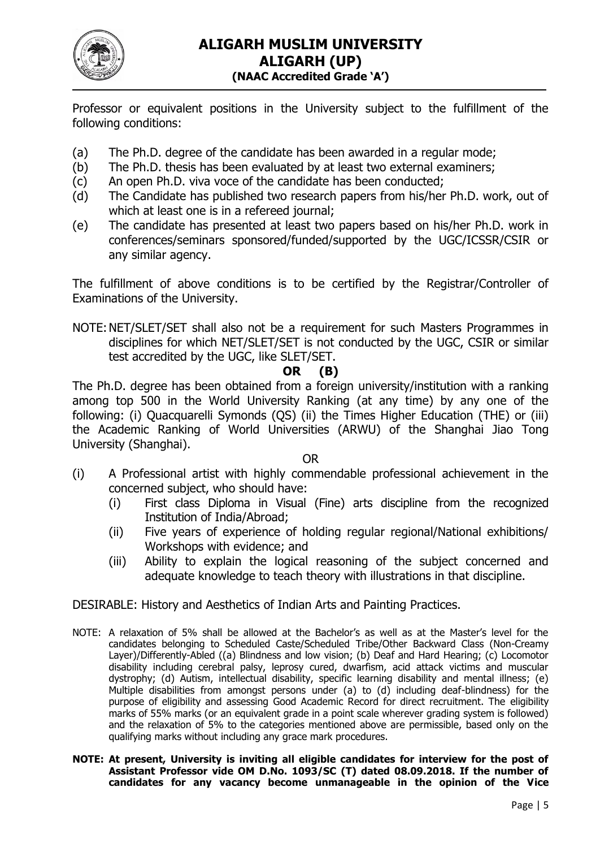

Professor or equivalent positions in the University subject to the fulfillment of the following conditions:

- (a) The Ph.D. degree of the candidate has been awarded in a regular mode;
- (b) The Ph.D. thesis has been evaluated by at least two external examiners;
- (c) An open Ph.D. viva voce of the candidate has been conducted;
- (d) The Candidate has published two research papers from his/her Ph.D. work, out of which at least one is in a refereed journal;
- (e) The candidate has presented at least two papers based on his/her Ph.D. work in conferences/seminars sponsored/funded/supported by the UGC/ICSSR/CSIR or any similar agency.

The fulfillment of above conditions is to be certified by the Registrar/Controller of Examinations of the University.

NOTE:NET/SLET/SET shall also not be a requirement for such Masters Programmes in disciplines for which NET/SLET/SET is not conducted by the UGC, CSIR or similar test accredited by the UGC, like SLET/SET.

# **OR (B)**

The Ph.D. degree has been obtained from a foreign university/institution with a ranking among top 500 in the World University Ranking (at any time) by any one of the following: (i) Quacquarelli Symonds (QS) (ii) the Times Higher Education (THE) or (iii) the Academic Ranking of World Universities (ARWU) of the Shanghai Jiao Tong University (Shanghai).

OR

- (i) A Professional artist with highly commendable professional achievement in the concerned subject, who should have:
	- (i) First class Diploma in Visual (Fine) arts discipline from the recognized Institution of India/Abroad;
	- (ii) Five years of experience of holding regular regional/National exhibitions/ Workshops with evidence; and
	- (iii) Ability to explain the logical reasoning of the subject concerned and adequate knowledge to teach theory with illustrations in that discipline.

DESIRABLE: History and Aesthetics of Indian Arts and Painting Practices.

- NOTE: A relaxation of 5% shall be allowed at the Bachelor's as well as at the Master's level for the candidates belonging to Scheduled Caste/Scheduled Tribe/Other Backward Class (Non-Creamy Layer)/Differently-Abled ((a) Blindness and low vision; (b) Deaf and Hard Hearing; (c) Locomotor disability including cerebral palsy, leprosy cured, dwarfism, acid attack victims and muscular dystrophy; (d) Autism, intellectual disability, specific learning disability and mental illness; (e) Multiple disabilities from amongst persons under (a) to (d) including deaf-blindness) for the purpose of eligibility and assessing Good Academic Record for direct recruitment. The eligibility marks of 55% marks (or an equivalent grade in a point scale wherever grading system is followed) and the relaxation of 5% to the categories mentioned above are permissible, based only on the qualifying marks without including any grace mark procedures.
- **NOTE: At present, University is inviting all eligible candidates for interview for the post of Assistant Professor vide OM D.No. 1093/SC (T) dated 08.09.2018. If the number of candidates for any vacancy become unmanageable in the opinion of the Vice**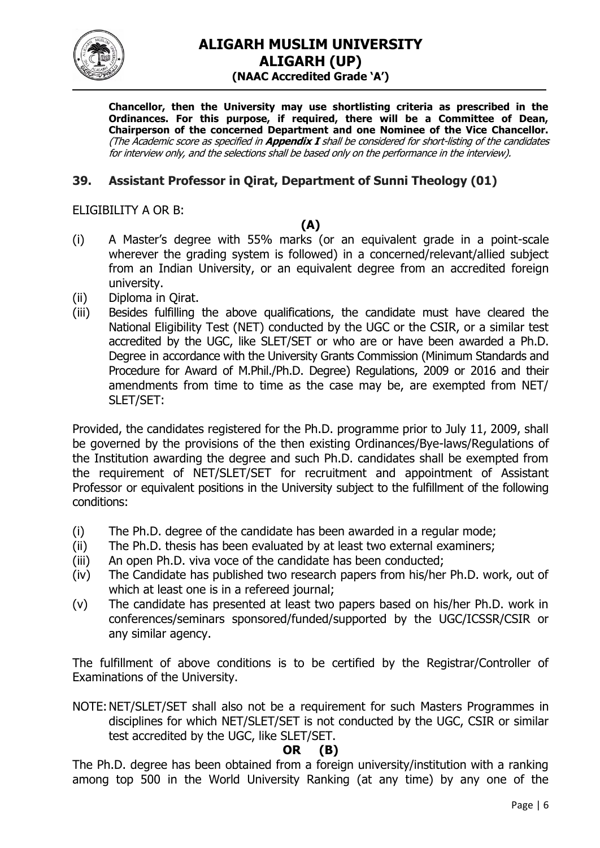

**Chancellor, then the University may use shortlisting criteria as prescribed in the Ordinances. For this purpose, if required, there will be a Committee of Dean, Chairperson of the concerned Department and one Nominee of the Vice Chancellor.** (The Academic score as specified in **Appendix I** shall be considered for short-listing of the candidates for interview only, and the selections shall be based only on the performance in the interview).

# **39. Assistant Professor in Qirat, Department of Sunni Theology (01)**

ELIGIBILITY A OR B:

#### **(A)**

- (i) A Master's degree with 55% marks (or an equivalent grade in a point-scale wherever the grading system is followed) in a concerned/relevant/allied subject from an Indian University, or an equivalent degree from an accredited foreign university.
- (ii) Diploma in Qirat.
- (iii) Besides fulfilling the above qualifications, the candidate must have cleared the National Eligibility Test (NET) conducted by the UGC or the CSIR, or a similar test accredited by the UGC, like SLET/SET or who are or have been awarded a Ph.D. Degree in accordance with the University Grants Commission (Minimum Standards and Procedure for Award of M.Phil./Ph.D. Degree) Regulations, 2009 or 2016 and their amendments from time to time as the case may be, are exempted from NET/ SLET/SET:

Provided, the candidates registered for the Ph.D. programme prior to July 11, 2009, shall be governed by the provisions of the then existing Ordinances/Bye-laws/Regulations of the Institution awarding the degree and such Ph.D. candidates shall be exempted from the requirement of NET/SLET/SET for recruitment and appointment of Assistant Professor or equivalent positions in the University subject to the fulfillment of the following conditions:

- (i) The Ph.D. degree of the candidate has been awarded in a regular mode;
- (ii) The Ph.D. thesis has been evaluated by at least two external examiners;
- (iii) An open Ph.D. viva voce of the candidate has been conducted;
- (iv) The Candidate has published two research papers from his/her Ph.D. work, out of which at least one is in a refereed journal:
- (v) The candidate has presented at least two papers based on his/her Ph.D. work in conferences/seminars sponsored/funded/supported by the UGC/ICSSR/CSIR or any similar agency.

The fulfillment of above conditions is to be certified by the Registrar/Controller of Examinations of the University.

NOTE:NET/SLET/SET shall also not be a requirement for such Masters Programmes in disciplines for which NET/SLET/SET is not conducted by the UGC, CSIR or similar test accredited by the UGC, like SLET/SET.

#### **OR (B)**

The Ph.D. degree has been obtained from a foreign university/institution with a ranking among top 500 in the World University Ranking (at any time) by any one of the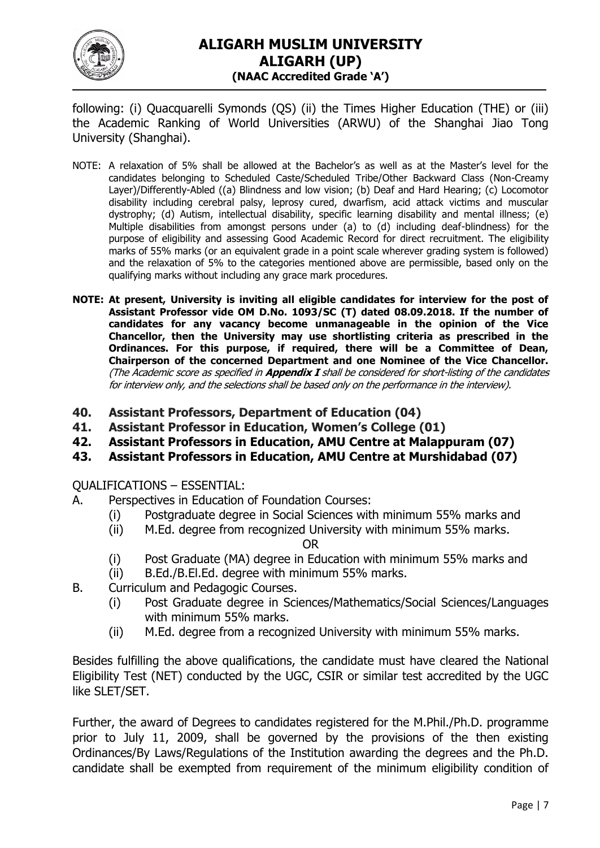

following: (i) Quacquarelli Symonds (QS) (ii) the Times Higher Education (THE) or (iii) the Academic Ranking of World Universities (ARWU) of the Shanghai Jiao Tong University (Shanghai).

- NOTE: A relaxation of 5% shall be allowed at the Bachelor's as well as at the Master's level for the candidates belonging to Scheduled Caste/Scheduled Tribe/Other Backward Class (Non-Creamy Layer)/Differently-Abled ((a) Blindness and low vision; (b) Deaf and Hard Hearing; (c) Locomotor disability including cerebral palsy, leprosy cured, dwarfism, acid attack victims and muscular dystrophy; (d) Autism, intellectual disability, specific learning disability and mental illness; (e) Multiple disabilities from amongst persons under (a) to (d) including deaf-blindness) for the purpose of eligibility and assessing Good Academic Record for direct recruitment. The eligibility marks of 55% marks (or an equivalent grade in a point scale wherever grading system is followed) and the relaxation of 5% to the categories mentioned above are permissible, based only on the qualifying marks without including any grace mark procedures.
- **NOTE: At present, University is inviting all eligible candidates for interview for the post of Assistant Professor vide OM D.No. 1093/SC (T) dated 08.09.2018. If the number of candidates for any vacancy become unmanageable in the opinion of the Vice Chancellor, then the University may use shortlisting criteria as prescribed in the Ordinances. For this purpose, if required, there will be a Committee of Dean, Chairperson of the concerned Department and one Nominee of the Vice Chancellor.**  (The Academic score as specified in **Appendix I** shall be considered for short-listing of the candidates for interview only, and the selections shall be based only on the performance in the interview).
- **40. Assistant Professors, Department of Education (04)**
- **41. Assistant Professor in Education, Women's College (01)**
- **42. Assistant Professors in Education, AMU Centre at Malappuram (07)**
- **43. Assistant Professors in Education, AMU Centre at Murshidabad (07)**

QUALIFICATIONS – ESSENTIAL:

- A. Perspectives in Education of Foundation Courses:
	- (i) Postgraduate degree in Social Sciences with minimum 55% marks and
	- (ii) M.Ed. degree from recognized University with minimum 55% marks.

OR

- (i) Post Graduate (MA) degree in Education with minimum 55% marks and
- (ii) B.Ed./B.El.Ed. degree with minimum 55% marks.
- B. Curriculum and Pedagogic Courses.
	- (i) Post Graduate degree in Sciences/Mathematics/Social Sciences/Languages with minimum 55% marks.
	- (ii) M.Ed. degree from a recognized University with minimum 55% marks.

Besides fulfilling the above qualifications, the candidate must have cleared the National Eligibility Test (NET) conducted by the UGC, CSIR or similar test accredited by the UGC like SLET/SET.

Further, the award of Degrees to candidates registered for the M.Phil./Ph.D. programme prior to July 11, 2009, shall be governed by the provisions of the then existing Ordinances/By Laws/Regulations of the Institution awarding the degrees and the Ph.D. candidate shall be exempted from requirement of the minimum eligibility condition of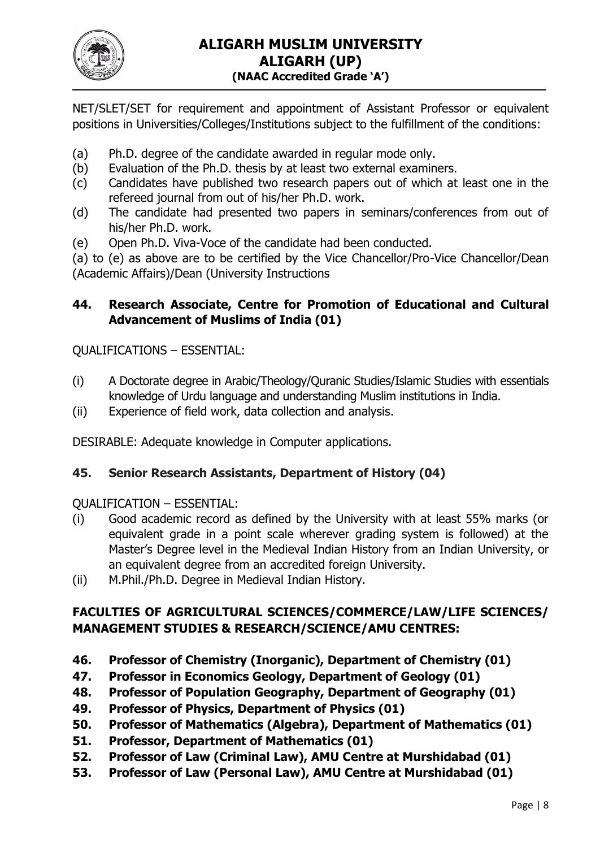

NET/SLET/SET for requirement and appointment of Assistant Professor or equivalent positions in Universities/Colleges/Institutions subject to the fulfillment of the conditions:

- (a) Ph.D. degree of the candidate awarded in regular mode only.
- (b) Evaluation of the Ph.D. thesis by at least two external examiners.
- (c) Candidates have published two research papers out of which at least one in the refereed journal from out of his/her Ph.D. work.
- (d) The candidate had presented two papers in seminars/conferences from out of his/her Ph.D. work.
- (e) Open Ph.D. Viva-Voce of the candidate had been conducted.

(a) to (e) as above are to be certified by the Vice Chancellor/Pro-Vice Chancellor/Dean (Academic Affairs)/Dean (University Instructions

# **44. Research Associate, Centre for Promotion of Educational and Cultural Advancement of Muslims of India (01)**

QUALIFICATIONS – ESSENTIAL:

- (i) A Doctorate degree in Arabic/Theology/Quranic Studies/Islamic Studies with essentials knowledge of Urdu language and understanding Muslim institutions in India.
- (ii) Experience of field work, data collection and analysis.

DESIRABLE: Adequate knowledge in Computer applications.

# **45. Senior Research Assistants, Department of History (04)**

QUALIFICATION – ESSENTIAL:

- (i) Good academic record as defined by the University with at least 55% marks (or equivalent grade in a point scale wherever grading system is followed) at the Master's Degree level in the Medieval Indian History from an Indian University, or an equivalent degree from an accredited foreign University.
- (ii) M.Phil./Ph.D. Degree in Medieval Indian History.

# **FACULTIES OF AGRICULTURAL SCIENCES/COMMERCE/LAW/LIFE SCIENCES/ MANAGEMENT STUDIES & RESEARCH/SCIENCE/AMU CENTRES:**

- **46. Professor of Chemistry (Inorganic), Department of Chemistry (01)**
- **47. Professor in Economics Geology, Department of Geology (01)**
- **48. Professor of Population Geography, Department of Geography (01)**
- **49. Professor of Physics, Department of Physics (01)**
- **50. Professor of Mathematics (Algebra), Department of Mathematics (01)**
- **51. Professor, Department of Mathematics (01)**
- **52. Professor of Law (Criminal Law), AMU Centre at Murshidabad (01)**
- **53. Professor of Law (Personal Law), AMU Centre at Murshidabad (01)**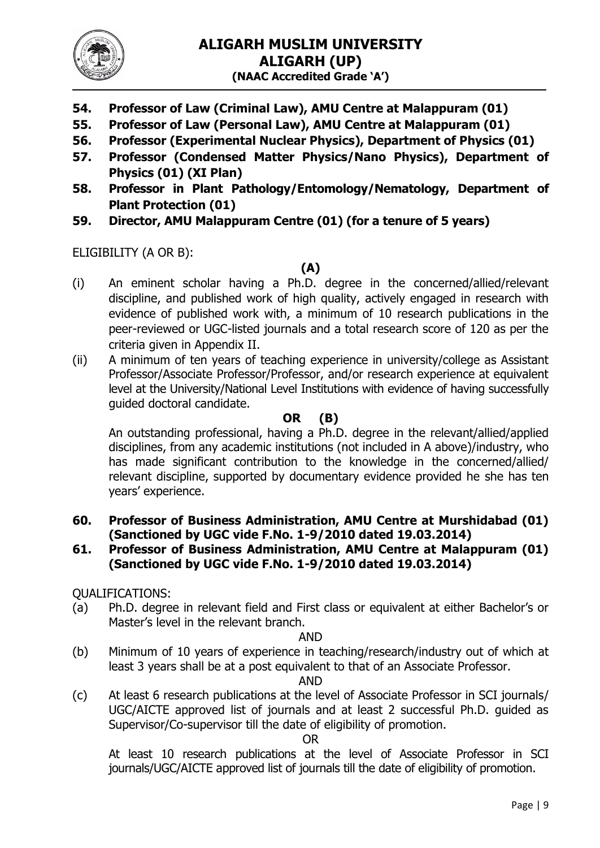

- **54. Professor of Law (Criminal Law), AMU Centre at Malappuram (01)**
- **55. Professor of Law (Personal Law), AMU Centre at Malappuram (01)**
- **56. Professor (Experimental Nuclear Physics), Department of Physics (01)**
- **57. Professor (Condensed Matter Physics/Nano Physics), Department of Physics (01) (XI Plan)**
- **58. Professor in Plant Pathology/Entomology/Nematology, Department of Plant Protection (01)**
- **59. Director, AMU Malappuram Centre (01) (for a tenure of 5 years)**

ELIGIBILITY (A OR B):

# **(A)**

- (i) An eminent scholar having a Ph.D. degree in the concerned/allied/relevant discipline, and published work of high quality, actively engaged in research with evidence of published work with, a minimum of 10 research publications in the peer-reviewed or UGC-listed journals and a total research score of 120 as per the criteria given in Appendix II.
- (ii) A minimum of ten years of teaching experience in university/college as Assistant Professor/Associate Professor/Professor, and/or research experience at equivalent level at the University/National Level Institutions with evidence of having successfully guided doctoral candidate.

## **OR (B)**

An outstanding professional, having a Ph.D. degree in the relevant/allied/applied disciplines, from any academic institutions (not included in A above)/industry, who has made significant contribution to the knowledge in the concerned/allied/ relevant discipline, supported by documentary evidence provided he she has ten years' experience.

- **60. Professor of Business Administration, AMU Centre at Murshidabad (01) (Sanctioned by UGC vide F.No. 1-9/2010 dated 19.03.2014)**
- **61. Professor of Business Administration, AMU Centre at Malappuram (01) (Sanctioned by UGC vide F.No. 1-9/2010 dated 19.03.2014)**

QUALIFICATIONS:

(a) Ph.D. degree in relevant field and First class or equivalent at either Bachelor's or Master's level in the relevant branch.

#### AND

(b) Minimum of 10 years of experience in teaching/research/industry out of which at least 3 years shall be at a post equivalent to that of an Associate Professor.

#### AND

(c) At least 6 research publications at the level of Associate Professor in SCI journals/ UGC/AICTE approved list of journals and at least 2 successful Ph.D. guided as Supervisor/Co-supervisor till the date of eligibility of promotion.

#### OR

At least 10 research publications at the level of Associate Professor in SCI journals/UGC/AICTE approved list of journals till the date of eligibility of promotion.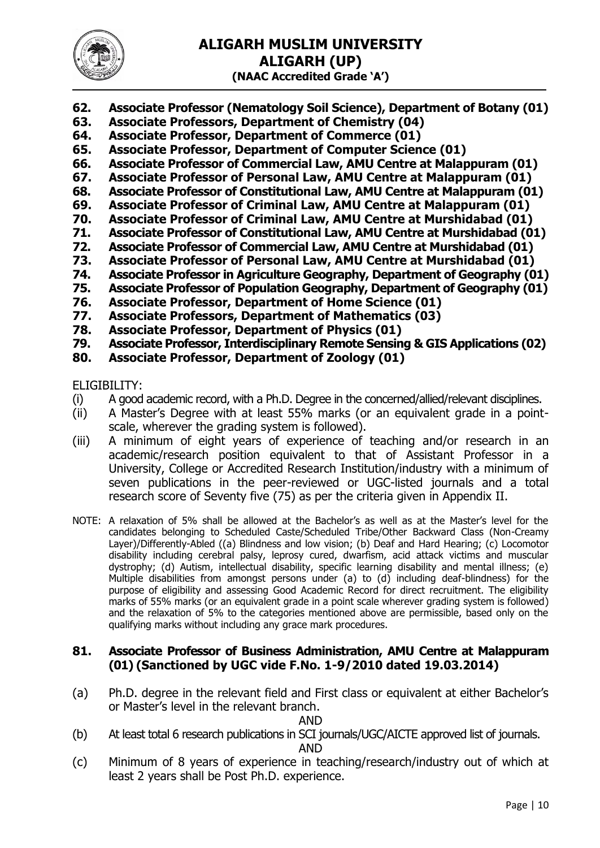

- **62. Associate Professor (Nematology Soil Science), Department of Botany (01)**
- **63. Associate Professors, Department of Chemistry (04)**
- **64. Associate Professor, Department of Commerce (01)**
- **65. Associate Professor, Department of Computer Science (01)**
- **66. Associate Professor of Commercial Law, AMU Centre at Malappuram (01)**
- **67. Associate Professor of Personal Law, AMU Centre at Malappuram (01)**
- **68. Associate Professor of Constitutional Law, AMU Centre at Malappuram (01)**
- **69. Associate Professor of Criminal Law, AMU Centre at Malappuram (01)**
- **70. Associate Professor of Criminal Law, AMU Centre at Murshidabad (01)**
- **71. Associate Professor of Constitutional Law, AMU Centre at Murshidabad (01)**
- **72. Associate Professor of Commercial Law, AMU Centre at Murshidabad (01)**
- **73. Associate Professor of Personal Law, AMU Centre at Murshidabad (01)**
- **74. Associate Professor in Agriculture Geography, Department of Geography (01)**
- **75. Associate Professor of Population Geography, Department of Geography (01)**
- **76. Associate Professor, Department of Home Science (01)**
- **77. Associate Professors, Department of Mathematics (03)**
- **78. Associate Professor, Department of Physics (01)**
- **79. Associate Professor, Interdisciplinary Remote Sensing & GIS Applications (02)**
- **80. Associate Professor, Department of Zoology (01)**

#### ELIGIBILITY:

- (i) A good academic record, with a Ph.D. Degree in the concerned/allied/relevant disciplines.
- (ii) A Master's Degree with at least 55% marks (or an equivalent grade in a pointscale, wherever the grading system is followed).
- (iii) A minimum of eight years of experience of teaching and/or research in an academic/research position equivalent to that of Assistant Professor in a University, College or Accredited Research Institution/industry with a minimum of seven publications in the peer-reviewed or UGC-listed journals and a total research score of Seventy five (75) as per the criteria given in Appendix II.
- NOTE: A relaxation of 5% shall be allowed at the Bachelor's as well as at the Master's level for the candidates belonging to Scheduled Caste/Scheduled Tribe/Other Backward Class (Non-Creamy Layer)/Differently-Abled ((a) Blindness and low vision; (b) Deaf and Hard Hearing; (c) Locomotor disability including cerebral palsy, leprosy cured, dwarfism, acid attack victims and muscular dystrophy; (d) Autism, intellectual disability, specific learning disability and mental illness; (e) Multiple disabilities from amongst persons under (a) to (d) including deaf-blindness) for the purpose of eligibility and assessing Good Academic Record for direct recruitment. The eligibility marks of 55% marks (or an equivalent grade in a point scale wherever grading system is followed) and the relaxation of 5% to the categories mentioned above are permissible, based only on the qualifying marks without including any grace mark procedures.

#### **81. Associate Professor of Business Administration, AMU Centre at Malappuram (01) (Sanctioned by UGC vide F.No. 1-9/2010 dated 19.03.2014)**

(a) Ph.D. degree in the relevant field and First class or equivalent at either Bachelor's or Master's level in the relevant branch.

AND

- (b) At least total 6 research publications in SCI journals/UGC/AICTE approved list of journals. AND
- (c) Minimum of 8 years of experience in teaching/research/industry out of which at least 2 years shall be Post Ph.D. experience.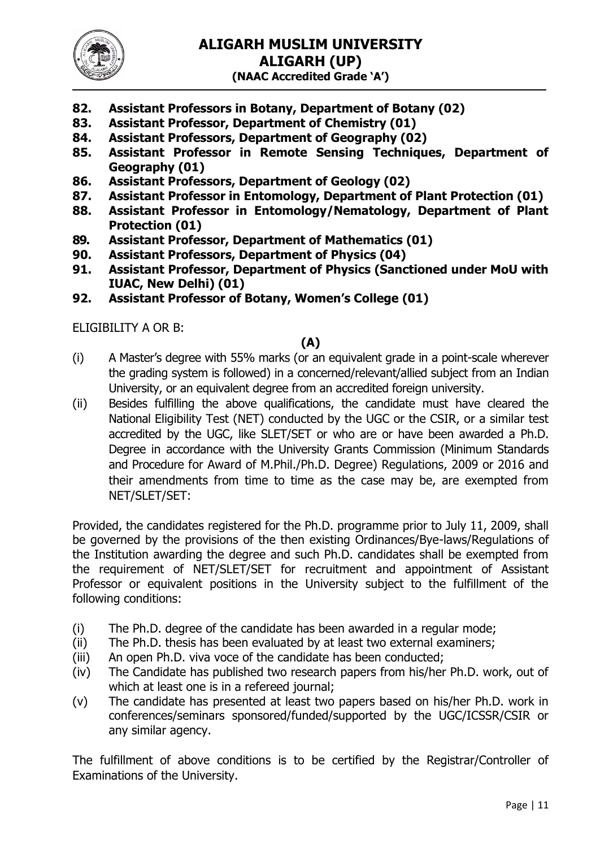

- **82. Assistant Professors in Botany, Department of Botany (02)**
- **83. Assistant Professor, Department of Chemistry (01)**
- **84. Assistant Professors, Department of Geography (02)**
- **85. Assistant Professor in Remote Sensing Techniques, Department of Geography (01)**
- **86. Assistant Professors, Department of Geology (02)**
- **87. Assistant Professor in Entomology, Department of Plant Protection (01)**
- **88. Assistant Professor in Entomology/Nematology, Department of Plant Protection (01)**
- **89. Assistant Professor, Department of Mathematics (01)**
- **90. Assistant Professors, Department of Physics (04)**
- **91. Assistant Professor, Department of Physics (Sanctioned under MoU with IUAC, New Delhi) (01)**
- **92. Assistant Professor of Botany, Women's College (01)**

ELIGIBILITY A OR B:

## **(A)**

- (i) A Master's degree with 55% marks (or an equivalent grade in a point-scale wherever the grading system is followed) in a concerned/relevant/allied subject from an Indian University, or an equivalent degree from an accredited foreign university.
- (ii) Besides fulfilling the above qualifications, the candidate must have cleared the National Eligibility Test (NET) conducted by the UGC or the CSIR, or a similar test accredited by the UGC, like SLET/SET or who are or have been awarded a Ph.D. Degree in accordance with the University Grants Commission (Minimum Standards and Procedure for Award of M.Phil./Ph.D. Degree) Regulations, 2009 or 2016 and their amendments from time to time as the case may be, are exempted from NET/SLET/SET:

Provided, the candidates registered for the Ph.D. programme prior to July 11, 2009, shall be governed by the provisions of the then existing Ordinances/Bye-laws/Regulations of the Institution awarding the degree and such Ph.D. candidates shall be exempted from the requirement of NET/SLET/SET for recruitment and appointment of Assistant Professor or equivalent positions in the University subject to the fulfillment of the following conditions:

- (i) The Ph.D. degree of the candidate has been awarded in a regular mode;
- (ii) The Ph.D. thesis has been evaluated by at least two external examiners;
- (iii) An open Ph.D. viva voce of the candidate has been conducted;
- (iv) The Candidate has published two research papers from his/her Ph.D. work, out of which at least one is in a refereed journal;
- (v) The candidate has presented at least two papers based on his/her Ph.D. work in conferences/seminars sponsored/funded/supported by the UGC/ICSSR/CSIR or any similar agency.

The fulfillment of above conditions is to be certified by the Registrar/Controller of Examinations of the University.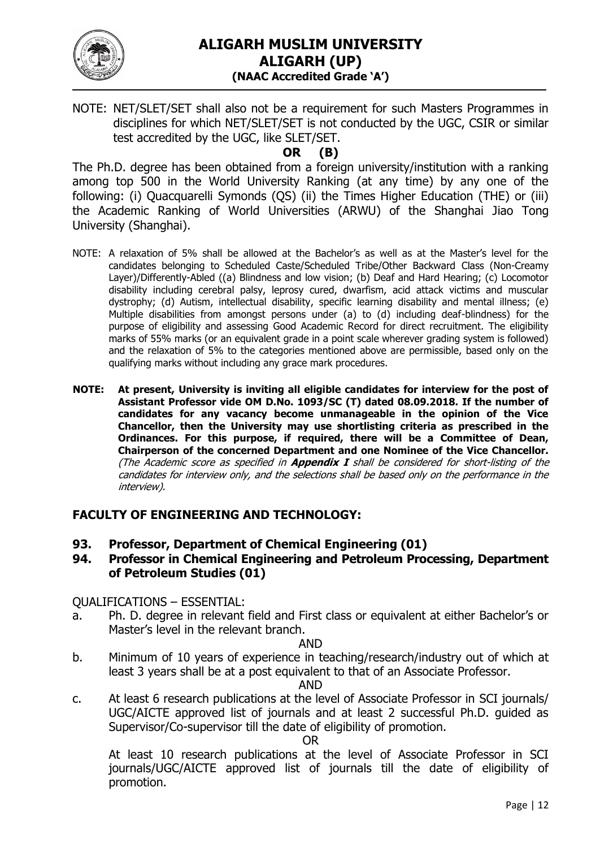

NOTE: NET/SLET/SET shall also not be a requirement for such Masters Programmes in disciplines for which NET/SLET/SET is not conducted by the UGC, CSIR or similar test accredited by the UGC, like SLET/SET.

# **OR (B)**

The Ph.D. degree has been obtained from a foreign university/institution with a ranking among top 500 in the World University Ranking (at any time) by any one of the following: (i) Quacquarelli Symonds (QS) (ii) the Times Higher Education (THE) or (iii) the Academic Ranking of World Universities (ARWU) of the Shanghai Jiao Tong University (Shanghai).

- NOTE: A relaxation of 5% shall be allowed at the Bachelor's as well as at the Master's level for the candidates belonging to Scheduled Caste/Scheduled Tribe/Other Backward Class (Non-Creamy Layer)/Differently-Abled ((a) Blindness and low vision; (b) Deaf and Hard Hearing; (c) Locomotor disability including cerebral palsy, leprosy cured, dwarfism, acid attack victims and muscular dystrophy; (d) Autism, intellectual disability, specific learning disability and mental illness; (e) Multiple disabilities from amongst persons under (a) to (d) including deaf-blindness) for the purpose of eligibility and assessing Good Academic Record for direct recruitment. The eligibility marks of 55% marks (or an equivalent grade in a point scale wherever grading system is followed) and the relaxation of 5% to the categories mentioned above are permissible, based only on the qualifying marks without including any grace mark procedures.
- **NOTE: At present, University is inviting all eligible candidates for interview for the post of Assistant Professor vide OM D.No. 1093/SC (T) dated 08.09.2018. If the number of candidates for any vacancy become unmanageable in the opinion of the Vice Chancellor, then the University may use shortlisting criteria as prescribed in the Ordinances. For this purpose, if required, there will be a Committee of Dean, Chairperson of the concerned Department and one Nominee of the Vice Chancellor.**  (The Academic score as specified in **Appendix I** shall be considered for short-listing of the candidates for interview only, and the selections shall be based only on the performance in the interview).

## **FACULTY OF ENGINEERING AND TECHNOLOGY:**

**93. Professor, Department of Chemical Engineering (01)**

#### **94. Professor in Chemical Engineering and Petroleum Processing, Department of Petroleum Studies (01)**

QUALIFICATIONS – ESSENTIAL:

a. Ph. D. degree in relevant field and First class or equivalent at either Bachelor's or Master's level in the relevant branch.

#### AND

b. Minimum of 10 years of experience in teaching/research/industry out of which at least 3 years shall be at a post equivalent to that of an Associate Professor.

#### AND

c. At least 6 research publications at the level of Associate Professor in SCI journals/ UGC/AICTE approved list of journals and at least 2 successful Ph.D. guided as Supervisor/Co-supervisor till the date of eligibility of promotion.

#### OR

At least 10 research publications at the level of Associate Professor in SCI journals/UGC/AICTE approved list of journals till the date of eligibility of promotion.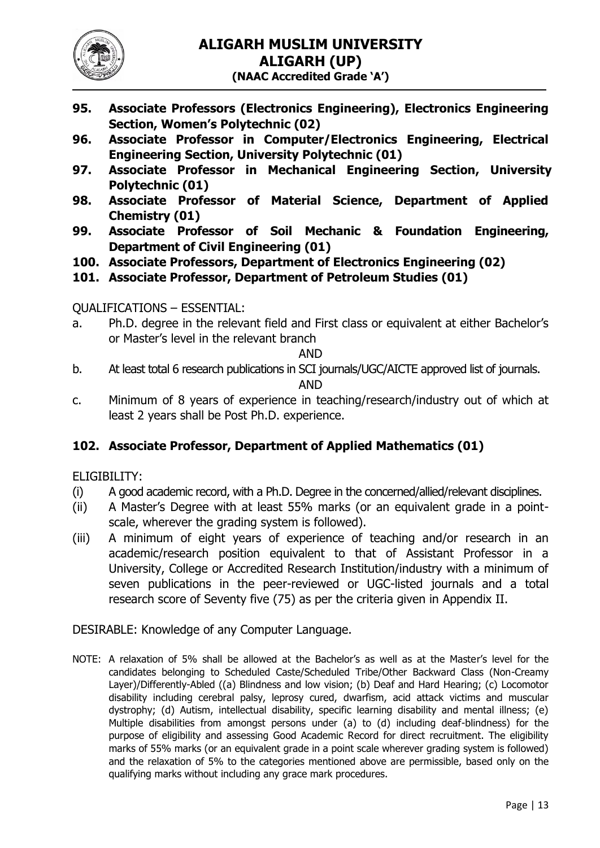

- **95. Associate Professors (Electronics Engineering), Electronics Engineering Section, Women's Polytechnic (02)**
- **96. Associate Professor in Computer/Electronics Engineering, Electrical Engineering Section, University Polytechnic (01)**
- **97. Associate Professor in Mechanical Engineering Section, University Polytechnic (01)**
- **98. Associate Professor of Material Science, Department of Applied Chemistry (01)**
- **99. Associate Professor of Soil Mechanic & Foundation Engineering, Department of Civil Engineering (01)**
- **100. Associate Professors, Department of Electronics Engineering (02)**
- **101. Associate Professor, Department of Petroleum Studies (01)**

## QUALIFICATIONS – ESSENTIAL:

a. Ph.D. degree in the relevant field and First class or equivalent at either Bachelor's or Master's level in the relevant branch

#### AND

- b. At least total 6 research publications in SCI journals/UGC/AICTE approved list of journals. AND
- c. Minimum of 8 years of experience in teaching/research/industry out of which at least 2 years shall be Post Ph.D. experience.

# **102. Associate Professor, Department of Applied Mathematics (01)**

## ELIGIBILITY:

- (i) A good academic record, with a Ph.D. Degree in the concerned/allied/relevant disciplines.
- (ii) A Master's Degree with at least 55% marks (or an equivalent grade in a pointscale, wherever the grading system is followed).
- (iii) A minimum of eight years of experience of teaching and/or research in an academic/research position equivalent to that of Assistant Professor in a University, College or Accredited Research Institution/industry with a minimum of seven publications in the peer-reviewed or UGC-listed journals and a total research score of Seventy five (75) as per the criteria given in Appendix II.

# DESIRABLE: Knowledge of any Computer Language.

NOTE: A relaxation of 5% shall be allowed at the Bachelor's as well as at the Master's level for the candidates belonging to Scheduled Caste/Scheduled Tribe/Other Backward Class (Non-Creamy Layer)/Differently-Abled ((a) Blindness and low vision; (b) Deaf and Hard Hearing; (c) Locomotor disability including cerebral palsy, leprosy cured, dwarfism, acid attack victims and muscular dystrophy; (d) Autism, intellectual disability, specific learning disability and mental illness; (e) Multiple disabilities from amongst persons under (a) to (d) including deaf-blindness) for the purpose of eligibility and assessing Good Academic Record for direct recruitment. The eligibility marks of 55% marks (or an equivalent grade in a point scale wherever grading system is followed) and the relaxation of 5% to the categories mentioned above are permissible, based only on the qualifying marks without including any grace mark procedures.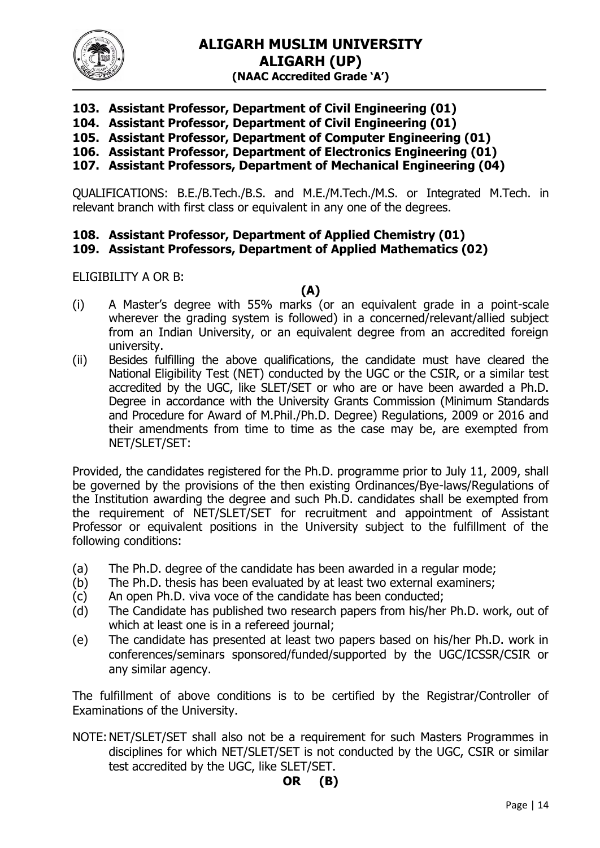

- **103. Assistant Professor, Department of Civil Engineering (01)**
- **104. Assistant Professor, Department of Civil Engineering (01)**
- **105. Assistant Professor, Department of Computer Engineering (01)**
- **106. Assistant Professor, Department of Electronics Engineering (01)**
- **107. Assistant Professors, Department of Mechanical Engineering (04)**

QUALIFICATIONS: B.E./B.Tech./B.S. and M.E./M.Tech./M.S. or Integrated M.Tech. in relevant branch with first class or equivalent in any one of the degrees.

# **108. Assistant Professor, Department of Applied Chemistry (01)**

### **109. Assistant Professors, Department of Applied Mathematics (02)**

ELIGIBILITY A OR B:

#### **(A)**

- (i) A Master's degree with 55% marks (or an equivalent grade in a point-scale wherever the grading system is followed) in a concerned/relevant/allied subject from an Indian University, or an equivalent degree from an accredited foreign university.
- (ii) Besides fulfilling the above qualifications, the candidate must have cleared the National Eligibility Test (NET) conducted by the UGC or the CSIR, or a similar test accredited by the UGC, like SLET/SET or who are or have been awarded a Ph.D. Degree in accordance with the University Grants Commission (Minimum Standards and Procedure for Award of M.Phil./Ph.D. Degree) Regulations, 2009 or 2016 and their amendments from time to time as the case may be, are exempted from NET/SLET/SET:

Provided, the candidates registered for the Ph.D. programme prior to July 11, 2009, shall be governed by the provisions of the then existing Ordinances/Bye-laws/Regulations of the Institution awarding the degree and such Ph.D. candidates shall be exempted from the requirement of NET/SLET/SET for recruitment and appointment of Assistant Professor or equivalent positions in the University subject to the fulfillment of the following conditions:

- (a) The Ph.D. degree of the candidate has been awarded in a regular mode;
- (b) The Ph.D. thesis has been evaluated by at least two external examiners;
- (c) An open Ph.D. viva voce of the candidate has been conducted;
- (d) The Candidate has published two research papers from his/her Ph.D. work, out of which at least one is in a refereed journal;
- (e) The candidate has presented at least two papers based on his/her Ph.D. work in conferences/seminars sponsored/funded/supported by the UGC/ICSSR/CSIR or any similar agency.

The fulfillment of above conditions is to be certified by the Registrar/Controller of Examinations of the University.

NOTE:NET/SLET/SET shall also not be a requirement for such Masters Programmes in disciplines for which NET/SLET/SET is not conducted by the UGC, CSIR or similar test accredited by the UGC, like SLET/SET.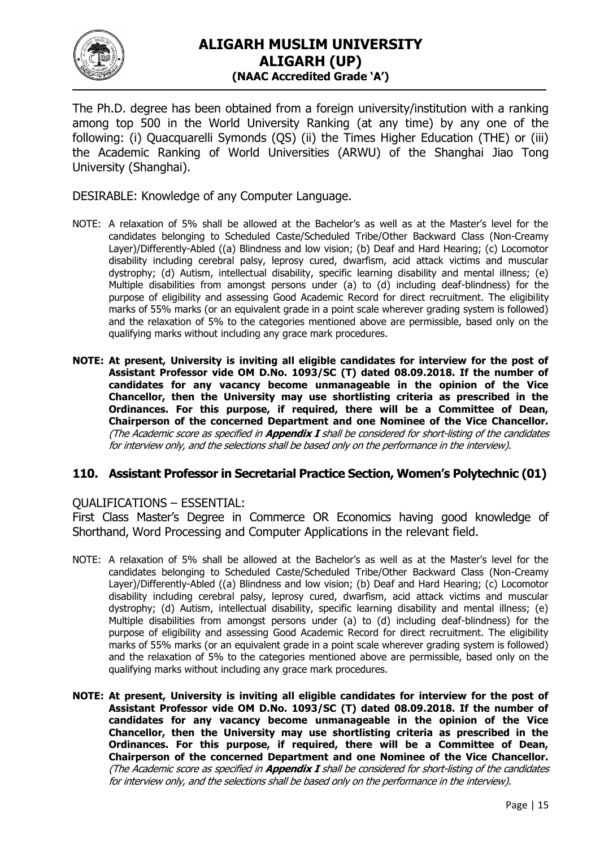

The Ph.D. degree has been obtained from a foreign university/institution with a ranking among top 500 in the World University Ranking (at any time) by any one of the following: (i) Quacquarelli Symonds (QS) (ii) the Times Higher Education (THE) or (iii) the Academic Ranking of World Universities (ARWU) of the Shanghai Jiao Tong University (Shanghai).

DESIRABLE: Knowledge of any Computer Language.

- NOTE: A relaxation of 5% shall be allowed at the Bachelor's as well as at the Master's level for the candidates belonging to Scheduled Caste/Scheduled Tribe/Other Backward Class (Non-Creamy Layer)/Differently-Abled ((a) Blindness and low vision; (b) Deaf and Hard Hearing; (c) Locomotor disability including cerebral palsy, leprosy cured, dwarfism, acid attack victims and muscular dystrophy; (d) Autism, intellectual disability, specific learning disability and mental illness; (e) Multiple disabilities from amongst persons under (a) to (d) including deaf-blindness) for the purpose of eligibility and assessing Good Academic Record for direct recruitment. The eligibility marks of 55% marks (or an equivalent grade in a point scale wherever grading system is followed) and the relaxation of 5% to the categories mentioned above are permissible, based only on the qualifying marks without including any grace mark procedures.
- **NOTE: At present, University is inviting all eligible candidates for interview for the post of Assistant Professor vide OM D.No. 1093/SC (T) dated 08.09.2018. If the number of candidates for any vacancy become unmanageable in the opinion of the Vice Chancellor, then the University may use shortlisting criteria as prescribed in the Ordinances. For this purpose, if required, there will be a Committee of Dean, Chairperson of the concerned Department and one Nominee of the Vice Chancellor.**  (The Academic score as specified in **Appendix I** shall be considered for short-listing of the candidates for interview only, and the selections shall be based only on the performance in the interview).

#### **110. Assistant Professor in Secretarial Practice Section, Women's Polytechnic (01)**

#### QUALIFICATIONS – ESSENTIAL:

First Class Master's Degree in Commerce OR Economics having good knowledge of Shorthand, Word Processing and Computer Applications in the relevant field.

- NOTE: A relaxation of 5% shall be allowed at the Bachelor's as well as at the Master's level for the candidates belonging to Scheduled Caste/Scheduled Tribe/Other Backward Class (Non-Creamy Layer)/Differently-Abled ((a) Blindness and low vision; (b) Deaf and Hard Hearing; (c) Locomotor disability including cerebral palsy, leprosy cured, dwarfism, acid attack victims and muscular dystrophy; (d) Autism, intellectual disability, specific learning disability and mental illness; (e) Multiple disabilities from amongst persons under (a) to (d) including deaf-blindness) for the purpose of eligibility and assessing Good Academic Record for direct recruitment. The eligibility marks of 55% marks (or an equivalent grade in a point scale wherever grading system is followed) and the relaxation of 5% to the categories mentioned above are permissible, based only on the qualifying marks without including any grace mark procedures.
- **NOTE: At present, University is inviting all eligible candidates for interview for the post of Assistant Professor vide OM D.No. 1093/SC (T) dated 08.09.2018. If the number of candidates for any vacancy become unmanageable in the opinion of the Vice Chancellor, then the University may use shortlisting criteria as prescribed in the Ordinances. For this purpose, if required, there will be a Committee of Dean, Chairperson of the concerned Department and one Nominee of the Vice Chancellor.**  (The Academic score as specified in **Appendix I** shall be considered for short-listing of the candidates for interview only, and the selections shall be based only on the performance in the interview).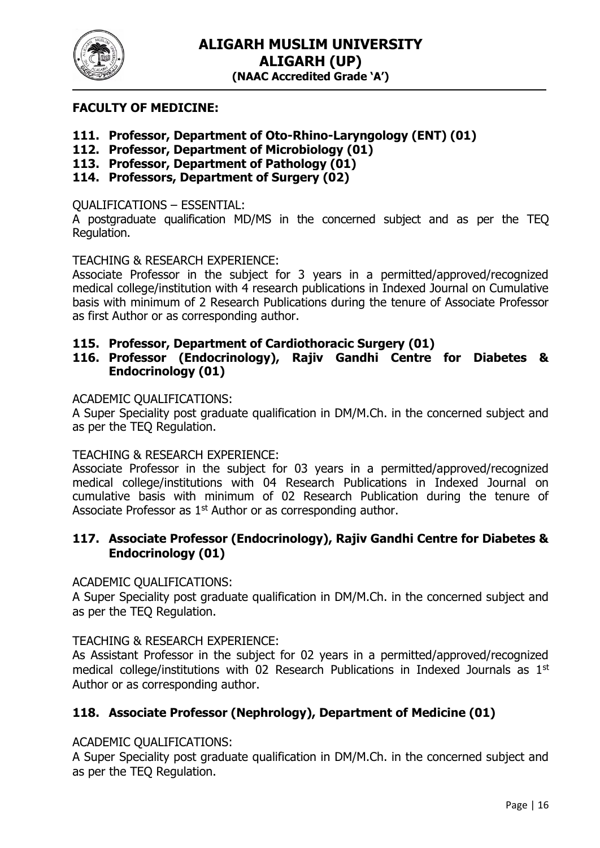

### **FACULTY OF MEDICINE:**

- **111. Professor, Department of Oto-Rhino-Laryngology (ENT) (01)**
- **112. Professor, Department of Microbiology (01)**
- **113. Professor, Department of Pathology (01)**
- **114. Professors, Department of Surgery (02)**

#### QUALIFICATIONS – ESSENTIAL:

A postgraduate qualification MD/MS in the concerned subject and as per the TEQ Regulation.

#### TEACHING & RESEARCH EXPERIENCE:

Associate Professor in the subject for 3 years in a permitted/approved/recognized medical college/institution with 4 research publications in Indexed Journal on Cumulative basis with minimum of 2 Research Publications during the tenure of Associate Professor as first Author or as corresponding author.

#### **115. Professor, Department of Cardiothoracic Surgery (01)**

## **116. Professor (Endocrinology), Rajiv Gandhi Centre for Diabetes & Endocrinology (01)**

#### ACADEMIC QUALIFICATIONS:

A Super Speciality post graduate qualification in DM/M.Ch. in the concerned subject and as per the TEQ Regulation.

#### TEACHING & RESEARCH EXPERIENCE:

Associate Professor in the subject for 03 years in a permitted/approved/recognized medical college/institutions with 04 Research Publications in Indexed Journal on cumulative basis with minimum of 02 Research Publication during the tenure of Associate Professor as  $1<sup>st</sup>$  Author or as corresponding author.

#### **117. Associate Professor (Endocrinology), Rajiv Gandhi Centre for Diabetes & Endocrinology (01)**

#### ACADEMIC QUALIFICATIONS:

A Super Speciality post graduate qualification in DM/M.Ch. in the concerned subject and as per the TEQ Regulation.

#### TEACHING & RESEARCH EXPERIENCE:

As Assistant Professor in the subject for 02 years in a permitted/approved/recognized medical college/institutions with 02 Research Publications in Indexed Journals as 1<sup>st</sup> Author or as corresponding author.

## **118. Associate Professor (Nephrology), Department of Medicine (01)**

#### ACADEMIC QUALIFICATIONS:

A Super Speciality post graduate qualification in DM/M.Ch. in the concerned subject and as per the TEQ Regulation.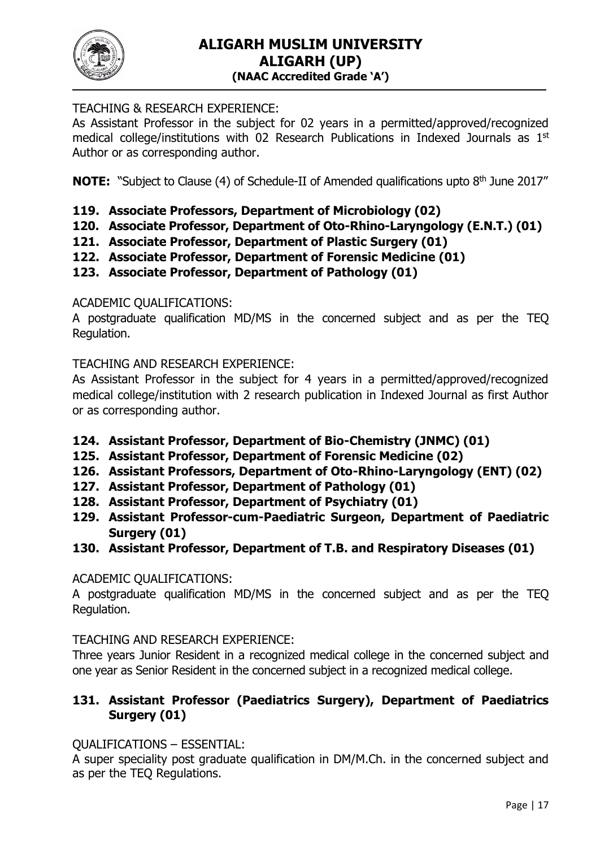

# TEACHING & RESEARCH EXPERIENCE:

As Assistant Professor in the subject for 02 years in a permitted/approved/recognized medical college/institutions with 02 Research Publications in Indexed Journals as 1st Author or as corresponding author.

**NOTE:** "Subject to Clause (4) of Schedule-II of Amended qualifications upto 8<sup>th</sup> June 2017"

- **119. Associate Professors, Department of Microbiology (02)**
- **120. Associate Professor, Department of Oto-Rhino-Laryngology (E.N.T.) (01)**
- **121. Associate Professor, Department of Plastic Surgery (01)**
- **122. Associate Professor, Department of Forensic Medicine (01)**
- **123. Associate Professor, Department of Pathology (01)**

## ACADEMIC QUALIFICATIONS:

A postgraduate qualification MD/MS in the concerned subject and as per the TEQ Regulation.

TEACHING AND RESEARCH EXPERIENCE:

As Assistant Professor in the subject for 4 years in a permitted/approved/recognized medical college/institution with 2 research publication in Indexed Journal as first Author or as corresponding author.

- **124. Assistant Professor, Department of Bio-Chemistry (JNMC) (01)**
- **125. Assistant Professor, Department of Forensic Medicine (02)**
- **126. Assistant Professors, Department of Oto-Rhino-Laryngology (ENT) (02)**
- **127. Assistant Professor, Department of Pathology (01)**
- **128. Assistant Professor, Department of Psychiatry (01)**
- **129. Assistant Professor-cum-Paediatric Surgeon, Department of Paediatric Surgery (01)**
- **130. Assistant Professor, Department of T.B. and Respiratory Diseases (01)**

## ACADEMIC QUALIFICATIONS:

A postgraduate qualification MD/MS in the concerned subject and as per the TEQ Regulation.

TEACHING AND RESEARCH EXPERIENCE:

Three years Junior Resident in a recognized medical college in the concerned subject and one year as Senior Resident in the concerned subject in a recognized medical college.

# **131. Assistant Professor (Paediatrics Surgery), Department of Paediatrics Surgery (01)**

## QUALIFICATIONS – ESSENTIAL:

A super speciality post graduate qualification in DM/M.Ch. in the concerned subject and as per the TEQ Regulations.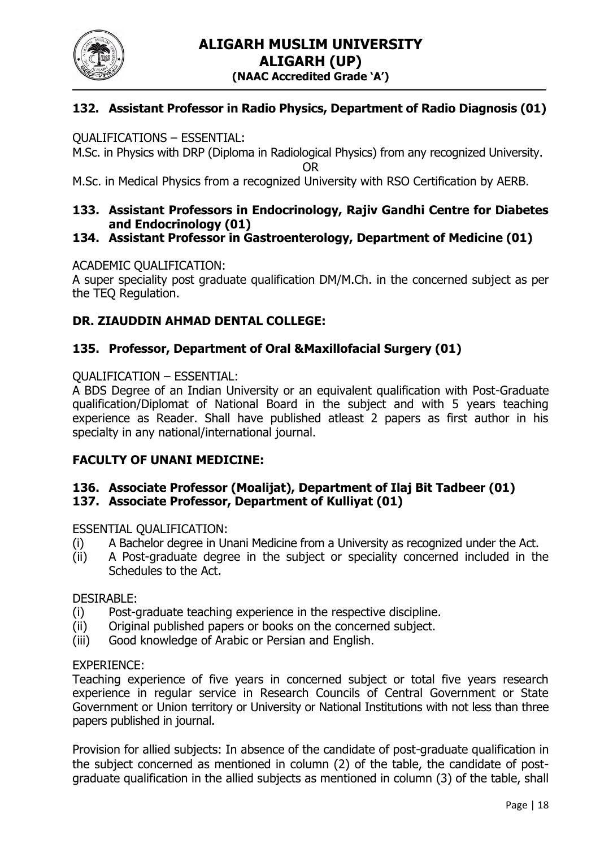

# **132. Assistant Professor in Radio Physics, Department of Radio Diagnosis (01)**

#### QUALIFICATIONS – ESSENTIAL:

M.Sc. in Physics with DRP (Diploma in Radiological Physics) from any recognized University.

OR

M.Sc. in Medical Physics from a recognized University with RSO Certification by AERB.

### **133. Assistant Professors in Endocrinology, Rajiv Gandhi Centre for Diabetes and Endocrinology (01)**

## **134. Assistant Professor in Gastroenterology, Department of Medicine (01)**

#### ACADEMIC QUALIFICATION:

A super speciality post graduate qualification DM/M.Ch. in the concerned subject as per the TEQ Regulation.

#### **DR. ZIAUDDIN AHMAD DENTAL COLLEGE:**

#### **135. Professor, Department of Oral &Maxillofacial Surgery (01)**

#### QUALIFICATION – ESSENTIAL:

A BDS Degree of an Indian University or an equivalent qualification with Post-Graduate qualification/Diplomat of National Board in the subject and with 5 years teaching experience as Reader. Shall have published atleast 2 papers as first author in his specialty in any national/international journal.

#### **FACULTY OF UNANI MEDICINE:**

#### **136. Associate Professor (Moalijat), Department of Ilaj Bit Tadbeer (01) 137. Associate Professor, Department of Kulliyat (01)**

ESSENTIAL QUALIFICATION:

- (i) A Bachelor degree in Unani Medicine from a University as recognized under the Act.
- (ii) A Post-graduate degree in the subject or speciality concerned included in the Schedules to the Act.

#### DESIRABLE:

- (i) Post-graduate teaching experience in the respective discipline.
- (ii) Original published papers or books on the concerned subject.
- (iii) Good knowledge of Arabic or Persian and English.

#### EXPERIENCE:

Teaching experience of five years in concerned subject or total five years research experience in regular service in Research Councils of Central Government or State Government or Union territory or University or National Institutions with not less than three papers published in journal.

Provision for allied subjects: In absence of the candidate of post-graduate qualification in the subject concerned as mentioned in column (2) of the table, the candidate of postgraduate qualification in the allied subjects as mentioned in column (3) of the table, shall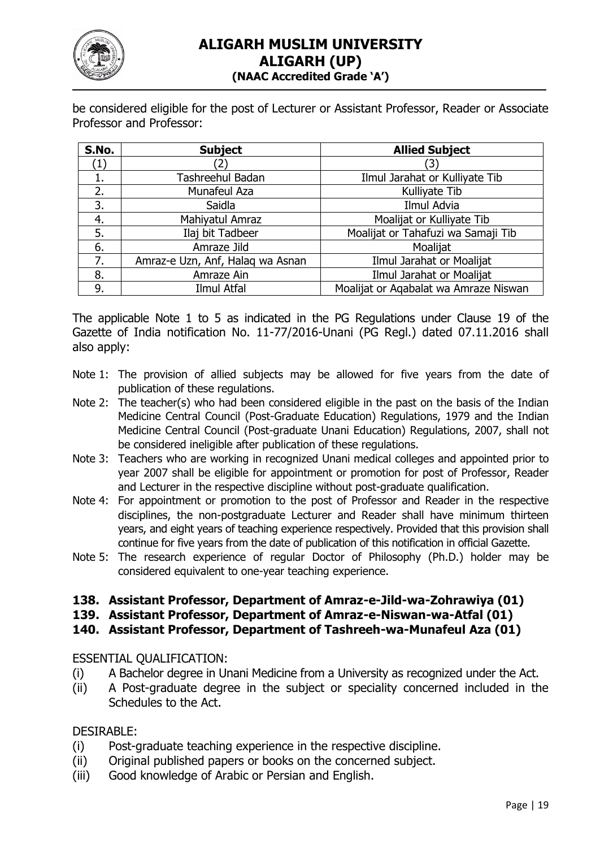

be considered eligible for the post of Lecturer or Assistant Professor, Reader or Associate Professor and Professor:

| S.No. | <b>Subject</b>                   | <b>Allied Subject</b>                 |
|-------|----------------------------------|---------------------------------------|
|       |                                  | [3]                                   |
|       | Tashreehul Badan                 | Ilmul Jarahat or Kulliyate Tib        |
| 2.    | Munafeul Aza                     | Kulliyate Tib                         |
| 3.    | Saidla                           | Ilmul Advia                           |
| 4.    | Mahiyatul Amraz                  | Moalijat or Kulliyate Tib             |
| 5.    | Ilaj bit Tadbeer                 | Moalijat or Tahafuzi wa Samaji Tib    |
| 6.    | Amraze Jild                      | Moalijat                              |
| 7.    | Amraz-e Uzn, Anf, Halaq wa Asnan | Ilmul Jarahat or Moalijat             |
| 8.    | Amraze Ain                       | Ilmul Jarahat or Moalijat             |
| 9.    | Ilmul Atfal                      | Moalijat or Agabalat wa Amraze Niswan |

The applicable Note 1 to 5 as indicated in the PG Regulations under Clause 19 of the Gazette of India notification No. 11-77/2016-Unani (PG Regl.) dated 07.11.2016 shall also apply:

- Note 1: The provision of allied subjects may be allowed for five years from the date of publication of these regulations.
- Note 2: The teacher(s) who had been considered eligible in the past on the basis of the Indian Medicine Central Council (Post-Graduate Education) Regulations, 1979 and the Indian Medicine Central Council (Post-graduate Unani Education) Regulations, 2007, shall not be considered ineligible after publication of these regulations.
- Note 3: Teachers who are working in recognized Unani medical colleges and appointed prior to year 2007 shall be eligible for appointment or promotion for post of Professor, Reader and Lecturer in the respective discipline without post-graduate qualification.
- Note 4: For appointment or promotion to the post of Professor and Reader in the respective disciplines, the non-postgraduate Lecturer and Reader shall have minimum thirteen years, and eight years of teaching experience respectively. Provided that this provision shall continue for five years from the date of publication of this notification in official Gazette.
- Note 5: The research experience of regular Doctor of Philosophy (Ph.D.) holder may be considered equivalent to one-year teaching experience.

# **138. Assistant Professor, Department of Amraz-e-Jild-wa-Zohrawiya (01)**

**139. Assistant Professor, Department of Amraz-e-Niswan-wa-Atfal (01)**

**140. Assistant Professor, Department of Tashreeh-wa-Munafeul Aza (01)**

ESSENTIAL QUALIFICATION:

- (i) A Bachelor degree in Unani Medicine from a University as recognized under the Act.
- (ii) A Post-graduate degree in the subject or speciality concerned included in the Schedules to the Act.

## DESIRABLE:

- (i) Post-graduate teaching experience in the respective discipline.
- (ii) Original published papers or books on the concerned subject.
- (iii) Good knowledge of Arabic or Persian and English.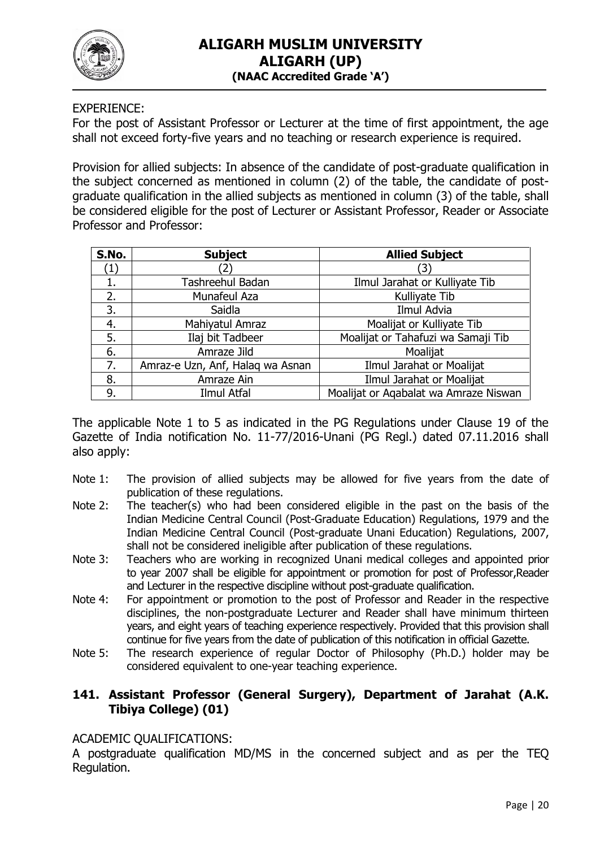

EXPERIENCE:

For the post of Assistant Professor or Lecturer at the time of first appointment, the age shall not exceed forty-five years and no teaching or research experience is required.

Provision for allied subjects: In absence of the candidate of post-graduate qualification in the subject concerned as mentioned in column (2) of the table, the candidate of postgraduate qualification in the allied subjects as mentioned in column (3) of the table, shall be considered eligible for the post of Lecturer or Assistant Professor, Reader or Associate Professor and Professor:

| S.No.            | <b>Subject</b>                   | <b>Allied Subject</b>                 |
|------------------|----------------------------------|---------------------------------------|
| $\left(1\right)$ |                                  | (3)                                   |
| 1.               | Tashreehul Badan                 | Ilmul Jarahat or Kulliyate Tib        |
| 2.               | Munafeul Aza                     | Kulliyate Tib                         |
| 3.               | Saidla                           | Ilmul Advia                           |
| 4.               | Mahiyatul Amraz                  | Moalijat or Kulliyate Tib             |
| 5.               | Ilaj bit Tadbeer                 | Moalijat or Tahafuzi wa Samaji Tib    |
| 6.               | Amraze Jild                      | Moalijat                              |
| 7.               | Amraz-e Uzn, Anf, Halaq wa Asnan | Ilmul Jarahat or Moalijat             |
| 8.               | Amraze Ain                       | Ilmul Jarahat or Moalijat             |
| 9.               | Ilmul Atfal                      | Moalijat or Aqabalat wa Amraze Niswan |

The applicable Note 1 to 5 as indicated in the PG Regulations under Clause 19 of the Gazette of India notification No. 11-77/2016-Unani (PG Regl.) dated 07.11.2016 shall also apply:

- Note 1: The provision of allied subjects may be allowed for five years from the date of publication of these regulations.
- Note 2: The teacher(s) who had been considered eligible in the past on the basis of the Indian Medicine Central Council (Post-Graduate Education) Regulations, 1979 and the Indian Medicine Central Council (Post-graduate Unani Education) Regulations, 2007, shall not be considered ineligible after publication of these regulations.
- Note 3: Teachers who are working in recognized Unani medical colleges and appointed prior to year 2007 shall be eligible for appointment or promotion for post of Professor,Reader and Lecturer in the respective discipline without post-graduate qualification.
- Note 4: For appointment or promotion to the post of Professor and Reader in the respective disciplines, the non-postgraduate Lecturer and Reader shall have minimum thirteen years, and eight years of teaching experience respectively. Provided that this provision shall continue for five years from the date of publication of this notification in official Gazette.
- Note 5: The research experience of regular Doctor of Philosophy (Ph.D.) holder may be considered equivalent to one-year teaching experience.

## **141. Assistant Professor (General Surgery), Department of Jarahat (A.K. Tibiya College) (01)**

#### ACADEMIC QUALIFICATIONS:

A postgraduate qualification MD/MS in the concerned subject and as per the TEQ Regulation.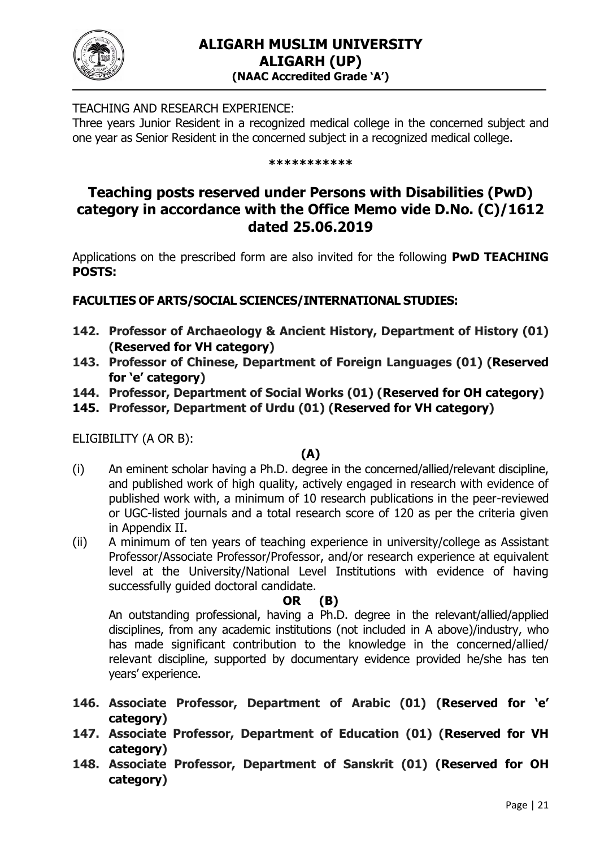

TEACHING AND RESEARCH EXPERIENCE:

Three years Junior Resident in a recognized medical college in the concerned subject and one year as Senior Resident in the concerned subject in a recognized medical college.

#### **\*\*\*\*\*\*\*\*\*\*\***

# **Teaching posts reserved under Persons with Disabilities (PwD) category in accordance with the Office Memo vide D.No. (C)/1612 dated 25.06.2019**

Applications on the prescribed form are also invited for the following **PwD TEACHING POSTS:**

## **FACULTIES OF ARTS/SOCIAL SCIENCES/INTERNATIONAL STUDIES:**

- **142. Professor of Archaeology & Ancient History, Department of History (01) (Reserved for VH category)**
- **143. Professor of Chinese, Department of Foreign Languages (01) (Reserved for 'e' category)**
- **144. Professor, Department of Social Works (01) (Reserved for OH category)**
- **145. Professor, Department of Urdu (01) (Reserved for VH category)**

ELIGIBILITY (A OR B):

## **(A)**

- (i) An eminent scholar having a Ph.D. degree in the concerned/allied/relevant discipline, and published work of high quality, actively engaged in research with evidence of published work with, a minimum of 10 research publications in the peer-reviewed or UGC-listed journals and a total research score of 120 as per the criteria given in Appendix II.
- (ii) A minimum of ten years of teaching experience in university/college as Assistant Professor/Associate Professor/Professor, and/or research experience at equivalent level at the University/National Level Institutions with evidence of having successfully guided doctoral candidate.

## **OR (B)**

An outstanding professional, having a Ph.D. degree in the relevant/allied/applied disciplines, from any academic institutions (not included in A above)/industry, who has made significant contribution to the knowledge in the concerned/allied/ relevant discipline, supported by documentary evidence provided he/she has ten years' experience.

- **146. Associate Professor, Department of Arabic (01) (Reserved for 'e' category)**
- **147. Associate Professor, Department of Education (01) (Reserved for VH category)**
- **148. Associate Professor, Department of Sanskrit (01) (Reserved for OH category)**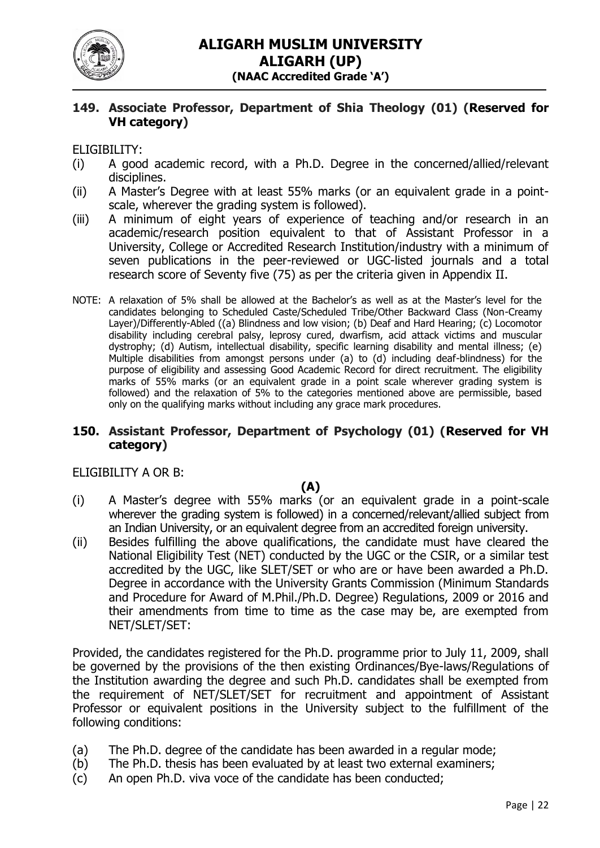

### **149. Associate Professor, Department of Shia Theology (01) (Reserved for VH category)**

#### ELIGIBILITY:

- (i) A good academic record, with a Ph.D. Degree in the concerned/allied/relevant disciplines.
- (ii) A Master's Degree with at least 55% marks (or an equivalent grade in a pointscale, wherever the grading system is followed).
- (iii) A minimum of eight years of experience of teaching and/or research in an academic/research position equivalent to that of Assistant Professor in a University, College or Accredited Research Institution/industry with a minimum of seven publications in the peer-reviewed or UGC-listed journals and a total research score of Seventy five (75) as per the criteria given in Appendix II.
- NOTE: A relaxation of 5% shall be allowed at the Bachelor's as well as at the Master's level for the candidates belonging to Scheduled Caste/Scheduled Tribe/Other Backward Class (Non-Creamy Layer)/Differently-Abled ((a) Blindness and low vision; (b) Deaf and Hard Hearing; (c) Locomotor disability including cerebral palsy, leprosy cured, dwarfism, acid attack victims and muscular dystrophy; (d) Autism, intellectual disability, specific learning disability and mental illness; (e) Multiple disabilities from amongst persons under (a) to (d) including deaf-blindness) for the purpose of eligibility and assessing Good Academic Record for direct recruitment. The eligibility marks of 55% marks (or an equivalent grade in a point scale wherever grading system is followed) and the relaxation of 5% to the categories mentioned above are permissible, based only on the qualifying marks without including any grace mark procedures.

#### **150. Assistant Professor, Department of Psychology (01) (Reserved for VH category)**

#### ELIGIBILITY A OR B:

#### **(A)**

- (i) A Master's degree with 55% marks (or an equivalent grade in a point-scale wherever the grading system is followed) in a concerned/relevant/allied subject from an Indian University, or an equivalent degree from an accredited foreign university.
- (ii) Besides fulfilling the above qualifications, the candidate must have cleared the National Eligibility Test (NET) conducted by the UGC or the CSIR, or a similar test accredited by the UGC, like SLET/SET or who are or have been awarded a Ph.D. Degree in accordance with the University Grants Commission (Minimum Standards and Procedure for Award of M.Phil./Ph.D. Degree) Regulations, 2009 or 2016 and their amendments from time to time as the case may be, are exempted from NET/SLET/SET:

Provided, the candidates registered for the Ph.D. programme prior to July 11, 2009, shall be governed by the provisions of the then existing Ordinances/Bye-laws/Regulations of the Institution awarding the degree and such Ph.D. candidates shall be exempted from the requirement of NET/SLET/SET for recruitment and appointment of Assistant Professor or equivalent positions in the University subject to the fulfillment of the following conditions:

- (a) The Ph.D. degree of the candidate has been awarded in a regular mode;
- (b) The Ph.D. thesis has been evaluated by at least two external examiners;
- (c) An open Ph.D. viva voce of the candidate has been conducted;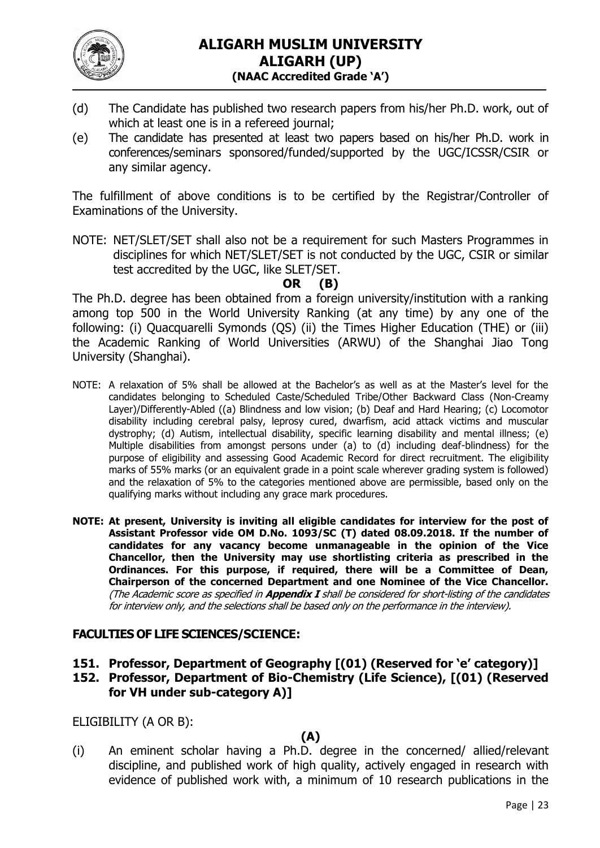

- (d) The Candidate has published two research papers from his/her Ph.D. work, out of which at least one is in a refereed journal;
- (e) The candidate has presented at least two papers based on his/her Ph.D. work in conferences/seminars sponsored/funded/supported by the UGC/ICSSR/CSIR or any similar agency.

The fulfillment of above conditions is to be certified by the Registrar/Controller of Examinations of the University.

NOTE: NET/SLET/SET shall also not be a requirement for such Masters Programmes in disciplines for which NET/SLET/SET is not conducted by the UGC, CSIR or similar test accredited by the UGC, like SLET/SET.

# **OR (B)**

The Ph.D. degree has been obtained from a foreign university/institution with a ranking among top 500 in the World University Ranking (at any time) by any one of the following: (i) Quacquarelli Symonds (QS) (ii) the Times Higher Education (THE) or (iii) the Academic Ranking of World Universities (ARWU) of the Shanghai Jiao Tong University (Shanghai).

- NOTE: A relaxation of 5% shall be allowed at the Bachelor's as well as at the Master's level for the candidates belonging to Scheduled Caste/Scheduled Tribe/Other Backward Class (Non-Creamy Layer)/Differently-Abled ((a) Blindness and low vision; (b) Deaf and Hard Hearing; (c) Locomotor disability including cerebral palsy, leprosy cured, dwarfism, acid attack victims and muscular dystrophy; (d) Autism, intellectual disability, specific learning disability and mental illness; (e) Multiple disabilities from amongst persons under (a) to (d) including deaf-blindness) for the purpose of eligibility and assessing Good Academic Record for direct recruitment. The eligibility marks of 55% marks (or an equivalent grade in a point scale wherever grading system is followed) and the relaxation of 5% to the categories mentioned above are permissible, based only on the qualifying marks without including any grace mark procedures.
- **NOTE: At present, University is inviting all eligible candidates for interview for the post of Assistant Professor vide OM D.No. 1093/SC (T) dated 08.09.2018. If the number of candidates for any vacancy become unmanageable in the opinion of the Vice Chancellor, then the University may use shortlisting criteria as prescribed in the Ordinances. For this purpose, if required, there will be a Committee of Dean, Chairperson of the concerned Department and one Nominee of the Vice Chancellor.**  (The Academic score as specified in **Appendix I** shall be considered for short-listing of the candidates for interview only, and the selections shall be based only on the performance in the interview).

## **FACULTIES OF LIFE SCIENCES/SCIENCE:**

- **151. Professor, Department of Geography [(01) (Reserved for 'e' category)]**
- **152. Professor, Department of Bio-Chemistry (Life Science), [(01) (Reserved for VH under sub-category A)]**

ELIGIBILITY (A OR B):

## **(A)**

(i) An eminent scholar having a Ph.D. degree in the concerned/ allied/relevant discipline, and published work of high quality, actively engaged in research with evidence of published work with, a minimum of 10 research publications in the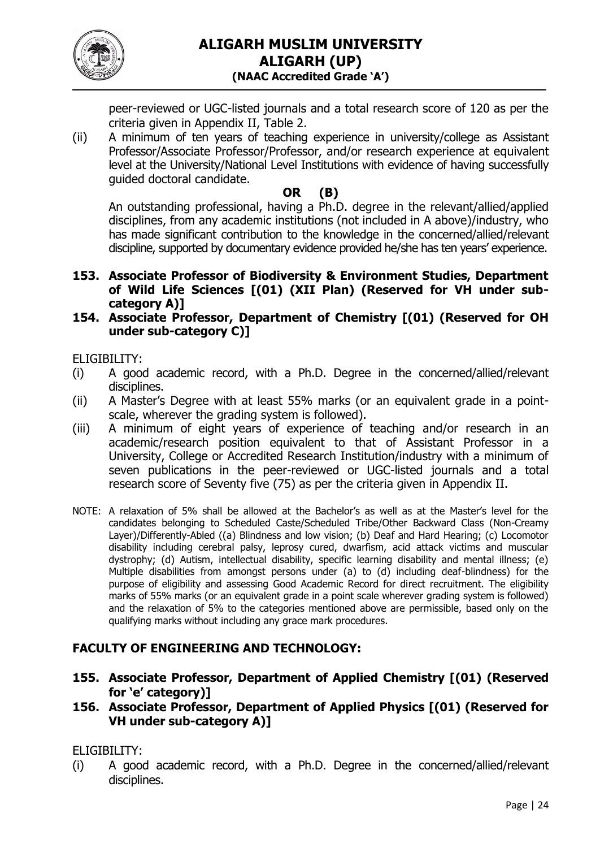

peer-reviewed or UGC-listed journals and a total research score of 120 as per the criteria given in Appendix II, Table 2.

(ii) A minimum of ten years of teaching experience in university/college as Assistant Professor/Associate Professor/Professor, and/or research experience at equivalent level at the University/National Level Institutions with evidence of having successfully guided doctoral candidate.

# **OR (B)**

An outstanding professional, having a Ph.D. degree in the relevant/allied/applied disciplines, from any academic institutions (not included in A above)/industry, who has made significant contribution to the knowledge in the concerned/allied/relevant discipline, supported by documentary evidence provided he/she has ten years' experience.

- **153. Associate Professor of Biodiversity & Environment Studies, Department of Wild Life Sciences [(01) (XII Plan) (Reserved for VH under subcategory A)]**
- **154. Associate Professor, Department of Chemistry [(01) (Reserved for OH under sub-category C)]**

ELIGIBILITY:

- (i) A good academic record, with a Ph.D. Degree in the concerned/allied/relevant disciplines.
- (ii) A Master's Degree with at least 55% marks (or an equivalent grade in a pointscale, wherever the grading system is followed).
- (iii) A minimum of eight years of experience of teaching and/or research in an academic/research position equivalent to that of Assistant Professor in a University, College or Accredited Research Institution/industry with a minimum of seven publications in the peer-reviewed or UGC-listed journals and a total research score of Seventy five (75) as per the criteria given in Appendix II.
- NOTE: A relaxation of 5% shall be allowed at the Bachelor's as well as at the Master's level for the candidates belonging to Scheduled Caste/Scheduled Tribe/Other Backward Class (Non-Creamy Layer)/Differently-Abled ((a) Blindness and low vision; (b) Deaf and Hard Hearing; (c) Locomotor disability including cerebral palsy, leprosy cured, dwarfism, acid attack victims and muscular dystrophy; (d) Autism, intellectual disability, specific learning disability and mental illness; (e) Multiple disabilities from amongst persons under (a) to (d) including deaf-blindness) for the purpose of eligibility and assessing Good Academic Record for direct recruitment. The eligibility marks of 55% marks (or an equivalent grade in a point scale wherever grading system is followed) and the relaxation of 5% to the categories mentioned above are permissible, based only on the qualifying marks without including any grace mark procedures.

# **FACULTY OF ENGINEERING AND TECHNOLOGY:**

- **155. Associate Professor, Department of Applied Chemistry [(01) (Reserved for 'e' category)]**
- **156. Associate Professor, Department of Applied Physics [(01) (Reserved for VH under sub-category A)]**

ELIGIBILITY:

(i) A good academic record, with a Ph.D. Degree in the concerned/allied/relevant disciplines.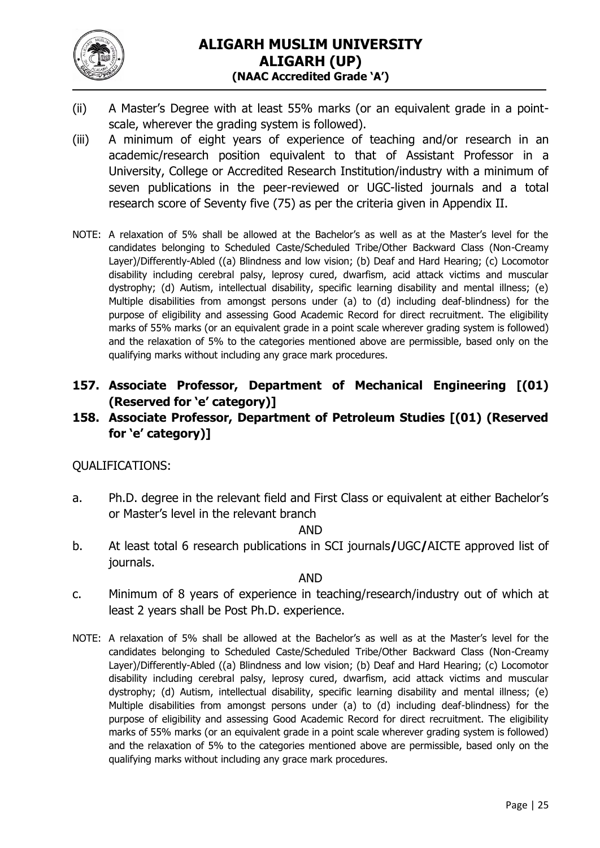

- (ii) A Master's Degree with at least 55% marks (or an equivalent grade in a pointscale, wherever the grading system is followed).
- (iii) A minimum of eight years of experience of teaching and/or research in an academic/research position equivalent to that of Assistant Professor in a University, College or Accredited Research Institution/industry with a minimum of seven publications in the peer-reviewed or UGC-listed journals and a total research score of Seventy five (75) as per the criteria given in Appendix II.
- NOTE: A relaxation of 5% shall be allowed at the Bachelor's as well as at the Master's level for the candidates belonging to Scheduled Caste/Scheduled Tribe/Other Backward Class (Non-Creamy Layer)/Differently-Abled ((a) Blindness and low vision; (b) Deaf and Hard Hearing; (c) Locomotor disability including cerebral palsy, leprosy cured, dwarfism, acid attack victims and muscular dystrophy; (d) Autism, intellectual disability, specific learning disability and mental illness; (e) Multiple disabilities from amongst persons under (a) to (d) including deaf-blindness) for the purpose of eligibility and assessing Good Academic Record for direct recruitment. The eligibility marks of 55% marks (or an equivalent grade in a point scale wherever grading system is followed) and the relaxation of 5% to the categories mentioned above are permissible, based only on the qualifying marks without including any grace mark procedures.
- **157. Associate Professor, Department of Mechanical Engineering [(01) (Reserved for 'e' category)]**

# **158. Associate Professor, Department of Petroleum Studies [(01) (Reserved for 'e' category)]**

## QUALIFICATIONS:

a. Ph.D. degree in the relevant field and First Class or equivalent at either Bachelor's or Master's level in the relevant branch

#### AND

b. At least total 6 research publications in SCI journals**/**UGC**/**AICTE approved list of journals.

### AND

- c. Minimum of 8 years of experience in teaching/research/industry out of which at least 2 years shall be Post Ph.D. experience.
- NOTE: A relaxation of 5% shall be allowed at the Bachelor's as well as at the Master's level for the candidates belonging to Scheduled Caste/Scheduled Tribe/Other Backward Class (Non-Creamy Layer)/Differently-Abled ((a) Blindness and low vision; (b) Deaf and Hard Hearing; (c) Locomotor disability including cerebral palsy, leprosy cured, dwarfism, acid attack victims and muscular dystrophy; (d) Autism, intellectual disability, specific learning disability and mental illness; (e) Multiple disabilities from amongst persons under (a) to (d) including deaf-blindness) for the purpose of eligibility and assessing Good Academic Record for direct recruitment. The eligibility marks of 55% marks (or an equivalent grade in a point scale wherever grading system is followed) and the relaxation of 5% to the categories mentioned above are permissible, based only on the qualifying marks without including any grace mark procedures.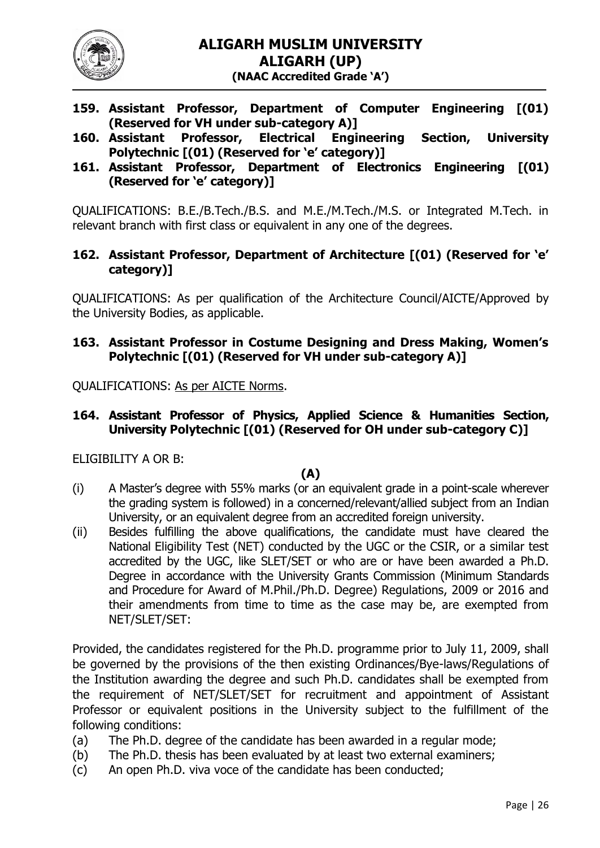

- **159. Assistant Professor, Department of Computer Engineering [(01) (Reserved for VH under sub-category A)]**
- **160. Assistant Professor, Electrical Engineering Section, University Polytechnic [(01) (Reserved for 'e' category)]**
- **161. Assistant Professor, Department of Electronics Engineering [(01) (Reserved for 'e' category)]**

QUALIFICATIONS: B.E./B.Tech./B.S. and M.E./M.Tech./M.S. or Integrated M.Tech. in relevant branch with first class or equivalent in any one of the degrees.

## **162. Assistant Professor, Department of Architecture [(01) (Reserved for 'e' category)]**

QUALIFICATIONS: As per qualification of the Architecture Council/AICTE/Approved by the University Bodies, as applicable.

## **163. Assistant Professor in Costume Designing and Dress Making, Women's Polytechnic [(01) (Reserved for VH under sub-category A)]**

QUALIFICATIONS: As per AICTE Norms.

## **164. Assistant Professor of Physics, Applied Science & Humanities Section, University Polytechnic [(01) (Reserved for OH under sub-category C)]**

ELIGIBILITY A OR B:

#### **(A)**

- (i) A Master's degree with 55% marks (or an equivalent grade in a point-scale wherever the grading system is followed) in a concerned/relevant/allied subject from an Indian University, or an equivalent degree from an accredited foreign university.
- (ii) Besides fulfilling the above qualifications, the candidate must have cleared the National Eligibility Test (NET) conducted by the UGC or the CSIR, or a similar test accredited by the UGC, like SLET/SET or who are or have been awarded a Ph.D. Degree in accordance with the University Grants Commission (Minimum Standards and Procedure for Award of M.Phil./Ph.D. Degree) Regulations, 2009 or 2016 and their amendments from time to time as the case may be, are exempted from NET/SLET/SET:

Provided, the candidates registered for the Ph.D. programme prior to July 11, 2009, shall be governed by the provisions of the then existing Ordinances/Bye-laws/Regulations of the Institution awarding the degree and such Ph.D. candidates shall be exempted from the requirement of NET/SLET/SET for recruitment and appointment of Assistant Professor or equivalent positions in the University subject to the fulfillment of the following conditions:

- (a) The Ph.D. degree of the candidate has been awarded in a regular mode;
- (b) The Ph.D. thesis has been evaluated by at least two external examiners;
- (c) An open Ph.D. viva voce of the candidate has been conducted;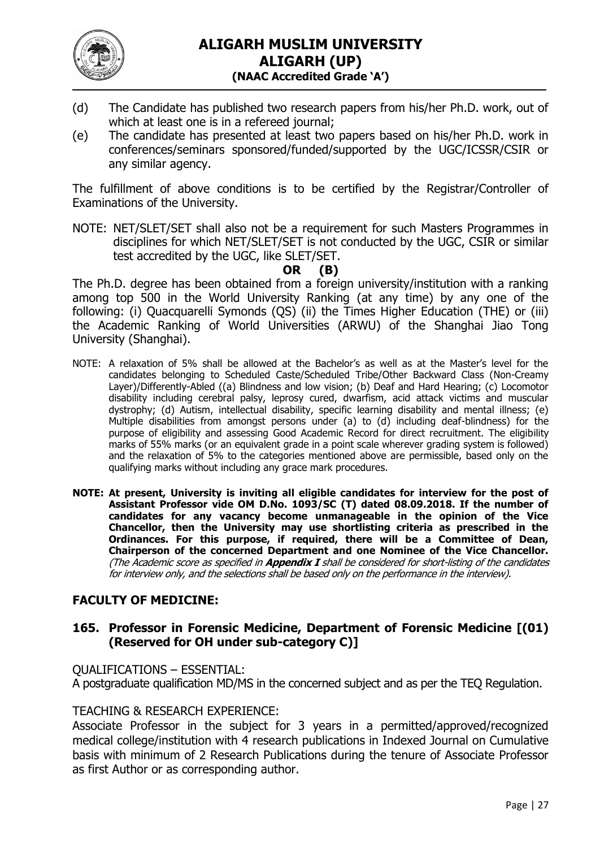

- (d) The Candidate has published two research papers from his/her Ph.D. work, out of which at least one is in a refereed journal;
- (e) The candidate has presented at least two papers based on his/her Ph.D. work in conferences/seminars sponsored/funded/supported by the UGC/ICSSR/CSIR or any similar agency.

The fulfillment of above conditions is to be certified by the Registrar/Controller of Examinations of the University.

NOTE: NET/SLET/SET shall also not be a requirement for such Masters Programmes in disciplines for which NET/SLET/SET is not conducted by the UGC, CSIR or similar test accredited by the UGC, like SLET/SET.

**OR (B)**

The Ph.D. degree has been obtained from a foreign university/institution with a ranking among top 500 in the World University Ranking (at any time) by any one of the following: (i) Quacquarelli Symonds (QS) (ii) the Times Higher Education (THE) or (iii) the Academic Ranking of World Universities (ARWU) of the Shanghai Jiao Tong University (Shanghai).

- NOTE: A relaxation of 5% shall be allowed at the Bachelor's as well as at the Master's level for the candidates belonging to Scheduled Caste/Scheduled Tribe/Other Backward Class (Non-Creamy Layer)/Differently-Abled ((a) Blindness and low vision; (b) Deaf and Hard Hearing; (c) Locomotor disability including cerebral palsy, leprosy cured, dwarfism, acid attack victims and muscular dystrophy; (d) Autism, intellectual disability, specific learning disability and mental illness; (e) Multiple disabilities from amongst persons under (a) to (d) including deaf-blindness) for the purpose of eligibility and assessing Good Academic Record for direct recruitment. The eligibility marks of 55% marks (or an equivalent grade in a point scale wherever grading system is followed) and the relaxation of 5% to the categories mentioned above are permissible, based only on the qualifying marks without including any grace mark procedures.
- **NOTE: At present, University is inviting all eligible candidates for interview for the post of Assistant Professor vide OM D.No. 1093/SC (T) dated 08.09.2018. If the number of candidates for any vacancy become unmanageable in the opinion of the Vice Chancellor, then the University may use shortlisting criteria as prescribed in the Ordinances. For this purpose, if required, there will be a Committee of Dean, Chairperson of the concerned Department and one Nominee of the Vice Chancellor.**  (The Academic score as specified in **Appendix I** shall be considered for short-listing of the candidates for interview only, and the selections shall be based only on the performance in the interview).

# **FACULTY OF MEDICINE:**

#### **165. Professor in Forensic Medicine, Department of Forensic Medicine [(01) (Reserved for OH under sub-category C)]**

QUALIFICATIONS – ESSENTIAL: A postgraduate qualification MD/MS in the concerned subject and as per the TEQ Regulation.

#### TEACHING & RESEARCH EXPERIENCE:

Associate Professor in the subject for 3 years in a permitted/approved/recognized medical college/institution with 4 research publications in Indexed Journal on Cumulative basis with minimum of 2 Research Publications during the tenure of Associate Professor as first Author or as corresponding author.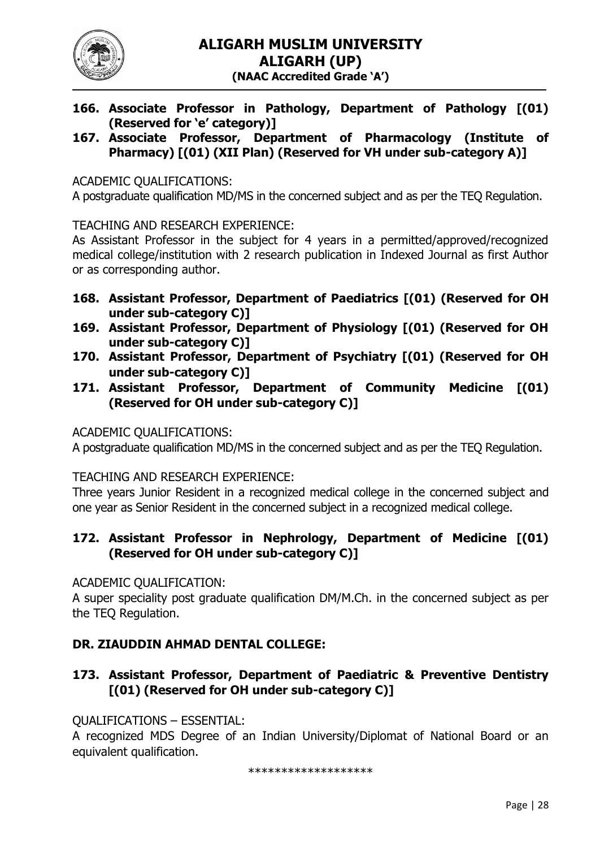

- **166. Associate Professor in Pathology, Department of Pathology [(01) (Reserved for 'e' category)]**
- **167. Associate Professor, Department of Pharmacology (Institute of Pharmacy) [(01) (XII Plan) (Reserved for VH under sub-category A)]**

ACADEMIC QUALIFICATIONS:

A postgraduate qualification MD/MS in the concerned subject and as per the TEQ Regulation.

TEACHING AND RESEARCH EXPERIENCE:

As Assistant Professor in the subject for 4 years in a permitted/approved/recognized medical college/institution with 2 research publication in Indexed Journal as first Author or as corresponding author.

- **168. Assistant Professor, Department of Paediatrics [(01) (Reserved for OH under sub-category C)]**
- **169. Assistant Professor, Department of Physiology [(01) (Reserved for OH under sub-category C)]**
- **170. Assistant Professor, Department of Psychiatry [(01) (Reserved for OH under sub-category C)]**
- **171. Assistant Professor, Department of Community Medicine [(01) (Reserved for OH under sub-category C)]**

ACADEMIC QUALIFICATIONS:

A postgraduate qualification MD/MS in the concerned subject and as per the TEQ Regulation.

TEACHING AND RESEARCH EXPERIENCE:

Three years Junior Resident in a recognized medical college in the concerned subject and one year as Senior Resident in the concerned subject in a recognized medical college.

# **172. Assistant Professor in Nephrology, Department of Medicine [(01) (Reserved for OH under sub-category C)]**

ACADEMIC QUALIFICATION:

A super speciality post graduate qualification DM/M.Ch. in the concerned subject as per the TEQ Regulation.

## **DR. ZIAUDDIN AHMAD DENTAL COLLEGE:**

**173. Assistant Professor, Department of Paediatric & Preventive Dentistry [(01) (Reserved for OH under sub-category C)]** 

QUALIFICATIONS – ESSENTIAL:

A recognized MDS Degree of an Indian University/Diplomat of National Board or an equivalent qualification.

\*\*\*\*\*\*\*\*\*\*\*\*\*\*\*\*\*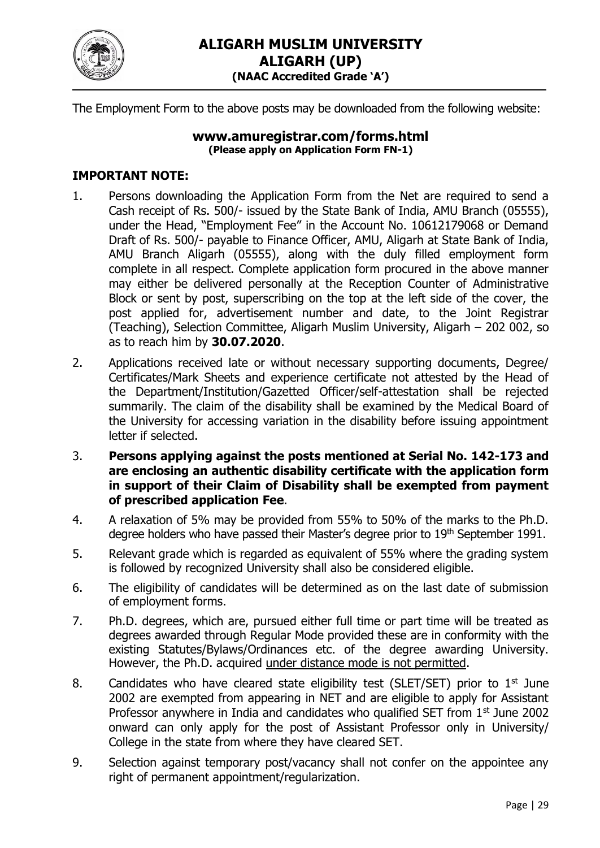

The Employment Form to the above posts may be downloaded from the following website:

#### **[www.amuregistrar.com/forms.html](http://www.amuregistrar.com/forms.html) (Please apply on Application Form FN-1)**

## **IMPORTANT NOTE:**

- 1. Persons downloading the Application Form from the Net are required to send a Cash receipt of Rs. 500/- issued by the State Bank of India, AMU Branch (05555), under the Head, "Employment Fee" in the Account No. 10612179068 or Demand Draft of Rs. 500/- payable to Finance Officer, AMU, Aligarh at State Bank of India, AMU Branch Aligarh (05555), along with the duly filled employment form complete in all respect. Complete application form procured in the above manner may either be delivered personally at the Reception Counter of Administrative Block or sent by post, superscribing on the top at the left side of the cover, the post applied for, advertisement number and date, to the Joint Registrar (Teaching), Selection Committee, Aligarh Muslim University, Aligarh – 202 002, so as to reach him by **30.07.2020**.
- 2. Applications received late or without necessary supporting documents, Degree/ Certificates/Mark Sheets and experience certificate not attested by the Head of the Department/Institution/Gazetted Officer/self-attestation shall be rejected summarily. The claim of the disability shall be examined by the Medical Board of the University for accessing variation in the disability before issuing appointment letter if selected.
- 3. **Persons applying against the posts mentioned at Serial No. 142-173 and are enclosing an authentic disability certificate with the application form in support of their Claim of Disability shall be exempted from payment of prescribed application Fee**.
- 4. A relaxation of 5% may be provided from 55% to 50% of the marks to the Ph.D. degree holders who have passed their Master's degree prior to 19<sup>th</sup> September 1991.
- 5. Relevant grade which is regarded as equivalent of 55% where the grading system is followed by recognized University shall also be considered eligible.
- 6. The eligibility of candidates will be determined as on the last date of submission of employment forms.
- 7. Ph.D. degrees, which are, pursued either full time or part time will be treated as degrees awarded through Regular Mode provided these are in conformity with the existing Statutes/Bylaws/Ordinances etc. of the degree awarding University. However, the Ph.D. acquired under distance mode is not permitted.
- 8. Candidates who have cleared state eligibility test (SLET/SET) prior to  $1<sup>st</sup>$  June 2002 are exempted from appearing in NET and are eligible to apply for Assistant Professor anywhere in India and candidates who qualified SET from 1<sup>st</sup> June 2002 onward can only apply for the post of Assistant Professor only in University/ College in the state from where they have cleared SET.
- 9. Selection against temporary post/vacancy shall not confer on the appointee any right of permanent appointment/regularization.